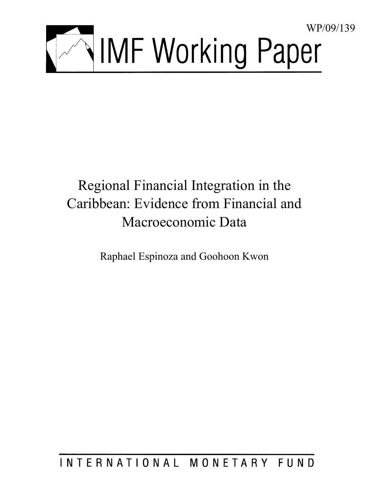

# Regional Financial Integration in the Caribbean: Evidence from Financial and Macroeconomic Data

Raphael Espinoza and Goohoon Kwon

## INTERNATIONAL MONETARY FUND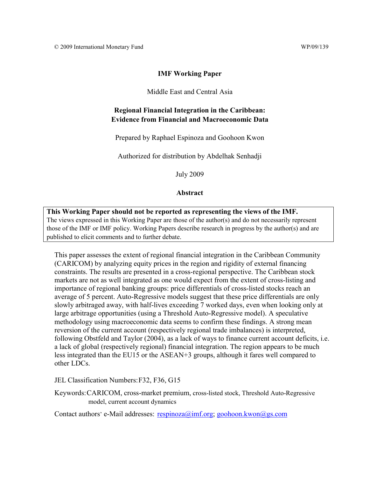#### **IMF Working Paper**

Middle East and Central Asia

## **Regional Financial Integration in the Caribbean: Evidence from Financial and Macroeconomic Data**

Prepared by Raphael Espinoza and Goohoon Kwon

Authorized for distribution by Abdelhak Senhadji

July 2009

#### **Abstract**

**This Working Paper should not be reported as representing the views of the IMF.** The views expressed in this Working Paper are those of the author(s) and do not necessarily represent those of the IMF or IMF policy. Working Papers describe research in progress by the author(s) and are published to elicit comments and to further debate.

This paper assesses the extent of regional financial integration in the Caribbean Community (CARICOM) by analyzing equity prices in the region and rigidity of external financing constraints. The results are presented in a cross-regional perspective. The Caribbean stock markets are not as well integrated as one would expect from the extent of cross-listing and importance of regional banking groups: price differentials of cross-listed stocks reach an average of 5 percent. Auto-Regressive models suggest that these price differentials are only slowly arbitraged away, with half-lives exceeding 7 worked days, even when looking only at large arbitrage opportunities (using a Threshold Auto-Regressive model). A speculative methodology using macroeconomic data seems to confirm these findings. A strong mean reversion of the current account (respectively regional trade imbalances) is interpreted, following Obstfeld and Taylor (2004), as a lack of ways to finance current account deficits, i.e. a lack of global (respectively regional) financial integration. The region appears to be much less integrated than the EU15 or the ASEAN+3 groups, although it fares well compared to other LDCs.

JEL Classification Numbers: F32, F36, G15

Keywords: CARICOM, cross-market premium, cross-listed stock, Threshold Auto-Regressive model, current account dynamics

Contact authors' e-Mail addresses:  $respinoza@imf.org; goohoon.kwon@gs.com$  $respinoza@imf.org; goohoon.kwon@gs.com$ </u>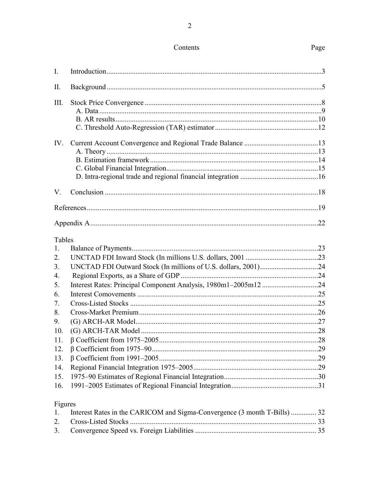## Contents

| $\mathbf{I}$ .                                                                                                |                                                                                                                                    |    |
|---------------------------------------------------------------------------------------------------------------|------------------------------------------------------------------------------------------------------------------------------------|----|
| $\prod$                                                                                                       |                                                                                                                                    |    |
| III.                                                                                                          |                                                                                                                                    |    |
| IV.                                                                                                           |                                                                                                                                    |    |
| V.                                                                                                            |                                                                                                                                    |    |
|                                                                                                               |                                                                                                                                    |    |
|                                                                                                               |                                                                                                                                    |    |
| Tables<br>1.<br>2.<br>3.<br>4.<br>5.<br>6.<br>7.<br>8.<br>9.<br>10.<br>11.<br>12.<br>13.<br>14.<br>15.<br>16. | Interest Rates: Principal Component Analysis, 1980m1-2005m1224                                                                     |    |
| Figures<br>1.                                                                                                 | Interest Rates in the CARICOM and Sigma-Convergence (3 month T-Bills)  32<br>$C_{\text{meas}}$ Listad $\mathcal{C}_{\text{teals}}$ | 22 |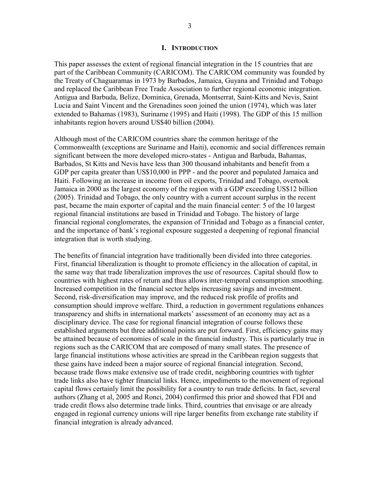#### **I. INTRODUCTION**

<span id="page-3-0"></span>This paper assesses the extent of regional financial integration in the 15 countries that are part of the Caribbean Community (CARICOM). The CARICOM community was founded by the Treaty of Chaguaramas in 1973 by Barbados, Jamaica, Guyana and Trinidad and Tobago and replaced the Caribbean Free Trade Association to further regional economic integration. Antigua and Barbuda, Belize, Dominica, Grenada, Montserrat, Saint-Kitts and Nevis, Saint Lucia and Saint Vincent and the Grenadines soon joined the union (1974), which was later extended to Bahamas (1983), Suriname (1995) and Haiti (1998). The GDP of this 15 million inhabitants region hovers around US\$40 billion (2004).

Although most of the CARICOM countries share the common heritage of the Commonwealth (exceptions are Suriname and Haiti), economic and social differences remain significant between the more developed micro-states - Antigua and Barbuda, Bahamas, Barbados, St Kitts and Nevis have less than 300 thousand inhabitants and benefit from a GDP per capita greater than US\$10,000 in PPP - and the poorer and populated Jamaica and Haiti. Following an increase in income from oil exports, Trinidad and Tobago, overtook Jamaica in 2000 as the largest economy of the region with a GDP exceeding US\$12 billion (2005). Trinidad and Tobago, the only country with a current account surplus in the recent past, became the main exporter of capital and the main financial center: 5 of the 10 largest regional financial institutions are based in Trinidad and Tobago. The history of large financial regional conglomerates, the expansion of Trinidad and Tobago as a financial center, and the importance of bank's regional exposure suggested a deepening of regional financial integration that is worth studying.

The benefits of financial integration have traditionally been divided into three categories. First, financial liberalization is thought to promote efficiency in the allocation of capital, in the same way that trade liberalization improves the use of resources. Capital should flow to countries with highest rates of return and thus allows inter-temporal consumption smoothing. Increased competition in the financial sector helps increasing savings and investment. Second, risk-diversification may improve, and the reduced risk profile of profits and consumption should improve welfare. Third, a reduction in government regulations enhances transparency and shifts in international markets' assessment of an economy may act as a disciplinary device. The case for regional financial integration of course follows these established arguments but three additional points are put forward. First, efficiency gains may be attained because of economies of scale in the financial industry. This is particularly true in regions such as the CARICOM that are composed of many small states. The presence of large financial institutions whose activities are spread in the Caribbean region suggests that these gains have indeed been a major source of regional financial integration. Second, because trade flows make extensive use of trade credit, neighboring countries with tighter trade links also have tighter financial links. Hence, impediments to the movement of regional capital flows certainly limit the possibility for a country to run trade deficits. In fact, several authors (Zhang et al, 2005 and Ronci, 2004) confirmed this prior and showed that FDI and trade credit flows also determine trade links. Third, countries that envisage or are already engaged in regional currency unions will ripe larger benefits from exchange rate stability if financial integration is already advanced.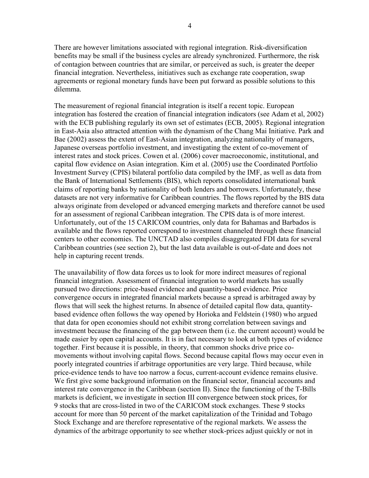There are however limitations associated with regional integration. Risk-diversification benefits may be small if the business cycles are already synchronized. Furthermore, the risk of contagion between countries that are similar, or perceived as such, is greater the deeper financial integration. Nevertheless, initiatives such as exchange rate cooperation, swap agreements or regional monetary funds have been put forward as possible solutions to this dilemma.

The measurement of regional financial integration is itself a recent topic. European integration has fostered the creation of financial integration indicators (see Adam et al, 2002) with the ECB publishing regularly its own set of estimates (ECB, 2005). Regional integration in East-Asia also attracted attention with the dynamism of the Chang Mai Initiative. Park and Bae (2002) assess the extent of East-Asian integration, analyzing nationality of managers, Japanese overseas portfolio investment, and investigating the extent of co-movement of interest rates and stock prices. Cowen et al. (2006) cover macroeconomic, institutional, and capital flow evidence on Asian integration. Kim et al. (2005) use the Coordinated Portfolio Investment Survey (CPIS) bilateral portfolio data compiled by the IMF, as well as data from the Bank of International Settlements (BIS), which reports consolidated international bank claims of reporting banks by nationality of both lenders and borrowers. Unfortunately, these datasets are not very informative for Caribbean countries. The flows reported by the BIS data always originate from developed or advanced emerging markets and therefore cannot be used for an assessment of regional Caribbean integration. The CPIS data is of more interest. Unfortunately, out of the 15 CARICOM countries, only data for Bahamas and Barbados is available and the flows reported correspond to investment channeled through these financial centers to other economies. The UNCTAD also compiles disaggregated FDI data for several Caribbean countries (see section 2), but the last data available is out-of-date and does not help in capturing recent trends.

The unavailability of flow data forces us to look for more indirect measures of regional financial integration. Assessment of financial integration to world markets has usually pursued two directions: price-based evidence and quantity-based evidence. Price convergence occurs in integrated financial markets because a spread is arbitraged away by flows that will seek the highest returns. In absence of detailed capital flow data, quantitybased evidence often follows the way opened by Horioka and Feldstein (1980) who argued that data for open economies should not exhibit strong correlation between savings and investment because the financing of the gap between them (i.e. the current account) would be made easier by open capital accounts. It is in fact necessary to look at both types of evidence together. First because it is possible, in theory, that common shocks drive price comovements without involving capital flows. Second because capital flows may occur even in poorly integrated countries if arbitrage opportunities are very large. Third because, while price-evidence tends to have too narrow a focus, current-account evidence remains elusive. We first give some background information on the financial sector, financial accounts and interest rate convergence in the Caribbean (section II). Since the functioning of the T-Bills markets is deficient, we investigate in section III convergence between stock prices, for 9 stocks that are cross-listed in two of the CARICOM stock exchanges. These 9 stocks account for more than 50 percent of the market capitalization of the Trinidad and Tobago Stock Exchange and are therefore representative of the regional markets. We assess the dynamics of the arbitrage opportunity to see whether stock-prices adjust quickly or not in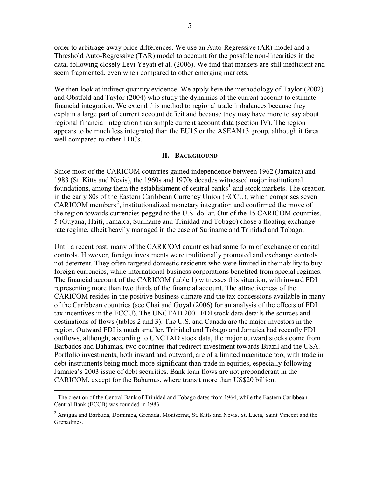<span id="page-5-0"></span>order to arbitrage away price differences. We use an Auto-Regressive (AR) model and a Threshold Auto-Regressive (TAR) model to account for the possible non-linearities in the data, following closely Levi Yeyati et al. (2006). We find that markets are still inefficient and seem fragmented, even when compared to other emerging markets.

We then look at indirect quantity evidence. We apply here the methodology of Taylor (2002) and Obstfeld and Taylor (2004) who study the dynamics of the current account to estimate financial integration. We extend this method to regional trade imbalances because they explain a large part of current account deficit and because they may have more to say about regional financial integration than simple current account data (section IV). The region appears to be much less integrated than the EU15 or the ASEAN+3 group, although it fares well compared to other LDCs.

#### **II. BACKGROUND**

Since most of the CARICOM countries gained independence between 1962 (Jamaica) and 1983 (St. Kitts and Nevis), the 1960s and 1970s decades witnessed major institutional foundations, among them the establishment of central banks<sup>[1](#page-5-1)</sup> and stock markets. The creation in the early 80s of the Eastern Caribbean Currency Union (ECCU), which comprises seven CARICOM members<sup>[2](#page-5-2)</sup>, institutionalized monetary integration and confirmed the move of the region towards currencies pegged to the U.S. dollar. Out of the 15 CARICOM countries, 5 (Guyana, Haiti, Jamaica, Suriname and Trinidad and Tobago) chose a floating exchange rate regime, albeit heavily managed in the case of Suriname and Trinidad and Tobago.

Until a recent past, many of the CARICOM countries had some form of exchange or capital controls. However, foreign investments were traditionally promoted and exchange controls not deterrent. They often targeted domestic residents who were limited in their ability to buy foreign currencies, while international business corporations benefited from special regimes. The financial account of the CARICOM (table 1) witnesses this situation, with inward FDI representing more than two thirds of the financial account. The attractiveness of the CARICOM resides in the positive business climate and the tax concessions available in many of the Caribbean countries (see Chai and Goyal (2006) for an analysis of the effects of FDI tax incentives in the ECCU). The UNCTAD 2001 FDI stock data details the sources and destinations of flows (tables 2 and 3). The U.S. and Canada are the major investors in the region. Outward FDI is much smaller. Trinidad and Tobago and Jamaica had recently FDI outflows, although, according to UNCTAD stock data, the major outward stocks come from Barbados and Bahamas, two countries that redirect investment towards Brazil and the USA. Portfolio investments, both inward and outward, are of a limited magnitude too, with trade in debt instruments being much more significant than trade in equities, especially following Jamaica's 2003 issue of debt securities. Bank loan flows are not preponderant in the CARICOM, except for the Bahamas, where transit more than US\$20 billion.

 $\overline{a}$ 

<span id="page-5-1"></span><sup>&</sup>lt;sup>1</sup> The creation of the Central Bank of Trinidad and Tobago dates from 1964, while the Eastern Caribbean Central Bank (ECCB) was founded in 1983.

<span id="page-5-2"></span><sup>&</sup>lt;sup>2</sup> Antigua and Barbuda, Dominica, Grenada, Montserrat, St. Kitts and Nevis, St. Lucia, Saint Vincent and the Grenadines.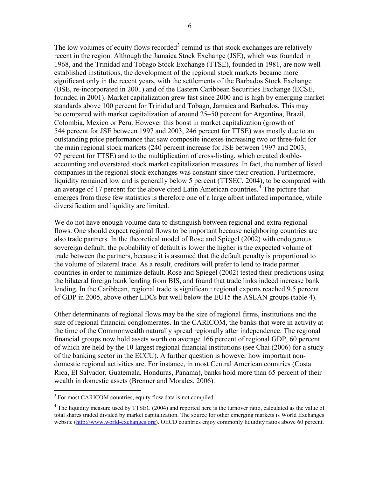The low volumes of equity flows recorded<sup>[3](#page-6-0)</sup> remind us that stock exchanges are relatively recent in the region. Although the Jamaica Stock Exchange (JSE), which was founded in 1968, and the Trinidad and Tobago Stock Exchange (TTSE), founded in 1981, are now wellestablished institutions, the development of the regional stock markets became more significant only in the recent years, with the settlements of the Barbados Stock Exchange (BSE, re-incorporated in 2001) and of the Eastern Caribbean Securities Exchange (ECSE, founded in 2001). Market capitalization grew fast since 2000 and is high by emerging market standards above 100 percent for Trinidad and Tobago, Jamaica and Barbados. This may be compared with market capitalization of around 25–50 percent for Argentina, Brazil, Colombia, Mexico or Peru. However this boost in market capitalization (growth of 544 percent for JSE between 1997 and 2003, 246 percent for TTSE) was mostly due to an outstanding price performance that saw composite indexes increasing two or three-fold for the main regional stock markets (240 percent increase for JSE between 1997 and 2003, 97 percent for TTSE) and to the multiplication of cross-listing, which created doubleaccounting and overstated stock market capitalization measures. In fact, the number of listed companies in the regional stock exchanges was constant since their creation. Furthermore, liquidity remained low and is generally below 5 percent (TTSEC, 2004), to be compared with an average of 17 percent for the above cited Latin American countries.<sup>[4](#page-6-1)</sup> The picture that emerges from these few statistics is therefore one of a large albeit inflated importance, while diversification and liquidity are limited.

We do not have enough volume data to distinguish between regional and extra-regional flows. One should expect regional flows to be important because neighboring countries are also trade partners. In the theoretical model of Rose and Spiegel (2002) with endogenous sovereign default, the probability of default is lower the higher is the expected volume of trade between the partners, because it is assumed that the default penalty is proportional to the volume of bilateral trade. As a result, creditors will prefer to lend to trade partner countries in order to minimize default. Rose and Spiegel (2002) tested their predictions using the bilateral foreign bank lending from BIS, and found that trade links indeed increase bank lending. In the Caribbean, regional trade is significant: regional exports reached 9.5 percent of GDP in 2005, above other LDCs but well below the EU15 the ASEAN groups (table 4).

Other determinants of regional flows may be the size of regional firms, institutions and the size of regional financial conglomerates. In the CARICOM, the banks that were in activity at the time of the Commonwealth naturally spread regionally after independence. The regional financial groups now hold assets worth on average 166 percent of regional GDP, 60 percent of which are held by the 10 largest regional financial institutions (see Chai (2006) for a study of the banking sector in the ECCU). A further question is however how important nondomestic regional activities are. For instance, in most Central American countries (Costa Rica, El Salvador, Guatemala, Honduras, Panama), banks hold more than 65 percent of their wealth in domestic assets (Brenner and Morales, 2006).

<span id="page-6-0"></span><sup>&</sup>lt;sup>3</sup> For most CARICOM countries, equity flow data is not compiled.

<span id="page-6-1"></span> $4$  The liquidity measure used by TTSEC (2004) and reported here is the turnover ratio, calculated as the value of total shares traded divided by market capitalization. The source for other emerging markets is World Exchanges website [\(http://www.world-exchanges.org\)](http://www.world-exchanges.org/). OECD countries enjoy commonly liquidity ratios above 60 percent.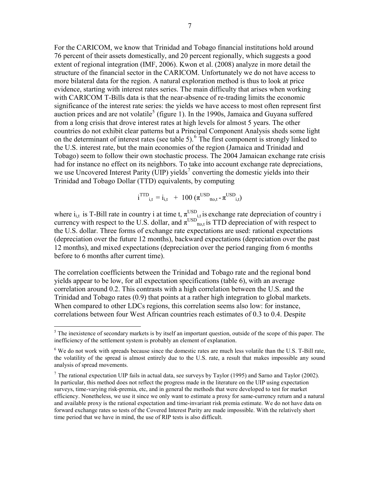For the CARICOM, we know that Trinidad and Tobago financial institutions hold around 76 percent of their assets domestically, and 20 percent regionally, which suggests a good extent of regional integration (IMF, 2006). Kwon et al. (2008) analyze in more detail the structure of the financial sector in the CARICOM. Unfortunately we do not have access to more bilateral data for the region. A natural exploration method is thus to look at price evidence, starting with interest rates series. The main difficulty that arises when working with CARICOM T-Bills data is that the near-absence of re-trading limits the economic significance of the interest rate series: the yields we have access to most often represent first auction prices and are not volatile<sup>[5](#page-7-0)</sup> (figure 1). In the 1990s, Jamaica and Guyana suffered from a long crisis that drove interest rates at high levels for almost 5 years. The other countries do not exhibit clear patterns but a Principal Component Analysis sheds some light on the determinant of interest rates (see table 5).<sup>[6](#page-7-1)</sup> The first component is strongly linked to the U.S. interest rate, but the main economies of the region (Jamaica and Trinidad and Tobago) seem to follow their own stochastic process. The 2004 Jamaican exchange rate crisis had for instance no effect on its neighbors. To take into account exchange rate depreciations, we use Uncovered Interest Parity (UIP) yields<sup>[7](#page-7-2)</sup> converting the domestic yields into their Trinidad and Tobago Dollar (TTD) equivalents, by computing

$$
i^{TTD}_{i,t} = i_{i,t} + 100 \left( \pi^{USD}_{tto,t} - \pi^{USD}_{i,t} \right)
$$

where  $i_{i,t}$  is T-Bill rate in country i at time t,  $\pi_{i,t}^{\text{USD}}$  is exchange rate depreciation of country i currency with respect to the U.S. dollar, and  $\pi^{\text{USD}}_{\text{tto,t}}$  is TTD depreciation of with respect to the U.S. dollar. Three forms of exchange rate expectations are used: rational expectations (depreciation over the future 12 months), backward expectations (depreciation over the past 12 months), and mixed expectations (depreciation over the period ranging from 6 months before to 6 months after current time).

The correlation coefficients between the Trinidad and Tobago rate and the regional bond yields appear to be low, for all expectation specifications (table 6), with an average correlation around 0.2. This contrasts with a high correlation between the U.S. and the Trinidad and Tobago rates (0.9) that points at a rather high integration to global markets. When compared to other LDCs regions, this correlation seems also low: for instance, correlations between four West African countries reach estimates of 0.3 to 0.4. Despite

<span id="page-7-0"></span><sup>&</sup>lt;sup>5</sup>The inexistence of secondary markets is by itself an important question, outside of the scope of this paper. The inefficiency of the settlement system is probably an element of explanation.

<span id="page-7-1"></span> $6$  We do not work with spreads because since the domestic rates are much less volatile than the U.S. T-Bill rate, the volatility of the spread is almost entirely due to the U.S. rate, a result that makes impossible any sound analysis of spread movements.

<span id="page-7-2"></span> $<sup>7</sup>$  The rational expectation UIP fails in actual data, see surveys by Taylor (1995) and Sarno and Taylor (2002).</sup> In particular, this method does not reflect the progress made in the literature on the UIP using expectation surveys, time-varying risk-premia, etc, and in general the methods that were developed to test for market efficiency. Nonetheless, we use it since we only want to estimate a proxy for same-currency return and a natural and available proxy is the rational expectation and time-invariant risk premia estimate. We do not have data on forward exchange rates so tests of the Covered Interest Parity are made impossible. With the relatively short time period that we have in mind, the use of RIP tests is also difficult.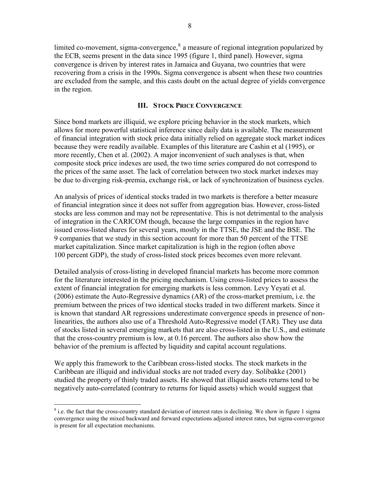<span id="page-8-0"></span>limited co-movement, sigma-convergence, $\delta$  a measure of regional integration popularized by the ECB, seems present in the data since 1995 (figure 1, third panel). However, sigma convergence is driven by interest rates in Jamaica and Guyana, two countries that were recovering from a crisis in the 1990s. Sigma convergence is absent when these two countries are excluded from the sample, and this casts doubt on the actual degree of yields convergence in the region.

## **III. STOCK PRICE CONVERGENCE**

Since bond markets are illiquid, we explore pricing behavior in the stock markets, which allows for more powerful statistical inference since daily data is available. The measurement of financial integration with stock price data initially relied on aggregate stock market indices because they were readily available. Examples of this literature are Cashin et al (1995), or more recently, Chen et al. (2002). A major inconvenient of such analyses is that, when composite stock price indexes are used, the two time series compared do not correspond to the prices of the same asset. The lack of correlation between two stock market indexes may be due to diverging risk-premia, exchange risk, or lack of synchronization of business cycles.

An analysis of prices of identical stocks traded in two markets is therefore a better measure of financial integration since it does not suffer from aggregation bias. However, cross-listed stocks are less common and may not be representative. This is not detrimental to the analysis of integration in the CARICOM though, because the large companies in the region have issued cross-listed shares for several years, mostly in the TTSE, the JSE and the BSE. The 9 companies that we study in this section account for more than 50 percent of the TTSE market capitalization. Since market capitalization is high in the region (often above 100 percent GDP), the study of cross-listed stock prices becomes even more relevant.

Detailed analysis of cross-listing in developed financial markets has become more common for the literature interested in the pricing mechanism. Using cross-listed prices to assess the extent of financial integration for emerging markets is less common. Levy Yeyati et al. (2006) estimate the Auto-Regressive dynamics (AR) of the cross-market premium, i.e. the premium between the prices of two identical stocks traded in two different markets. Since it is known that standard AR regressions underestimate convergence speeds in presence of nonlinearities, the authors also use of a Threshold Auto-Regressive model (TAR). They use data of stocks listed in several emerging markets that are also cross-listed in the U.S., and estimate that the cross-country premium is low, at 0.16 percent. The authors also show how the behavior of the premium is affected by liquidity and capital account regulations.

We apply this framework to the Caribbean cross-listed stocks. The stock markets in the Caribbean are illiquid and individual stocks are not traded every day. Solibakke (2001) studied the property of thinly traded assets. He showed that illiquid assets returns tend to be negatively auto-correlated (contrary to returns for liquid assets) which would suggest that

<span id="page-8-1"></span><sup>&</sup>lt;sup>8</sup> i.e. the fact that the cross-country standard deviation of interest rates is declining. We show in figure 1 sigma convergence using the mixed backward and forward expectations adjusted interest rates, but sigma-convergence is present for all expectation mechanisms.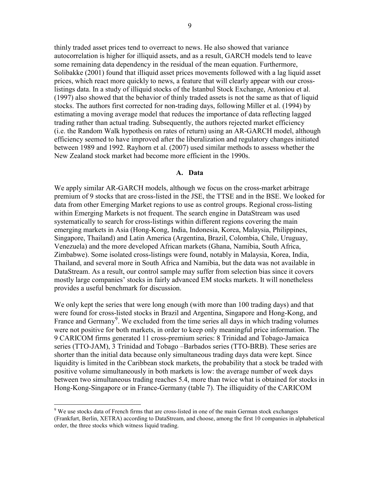<span id="page-9-0"></span>thinly traded asset prices tend to overreact to news. He also showed that variance autocorrelation is higher for illiquid assets, and as a result, GARCH models tend to leave some remaining data dependency in the residual of the mean equation. Furthermore, Solibakke (2001) found that illiquid asset prices movements followed with a lag liquid asset prices, which react more quickly to news, a feature that will clearly appear with our crosslistings data. In a study of illiquid stocks of the Istanbul Stock Exchange, Antoniou et al. (1997) also showed that the behavior of thinly traded assets is not the same as that of liquid stocks. The authors first corrected for non-trading days, following Miller et al. (1994) by estimating a moving average model that reduces the importance of data reflecting lagged trading rather than actual trading. Subsequently, the authors rejected market efficiency (i.e. the Random Walk hypothesis on rates of return) using an AR-GARCH model, although efficiency seemed to have improved after the liberalization and regulatory changes initiated between 1989 and 1992. Rayhorn et al. (2007) used similar methods to assess whether the New Zealand stock market had become more efficient in the 1990s.

#### **A. Data**

We apply similar AR-GARCH models, although we focus on the cross-market arbitrage premium of 9 stocks that are cross-listed in the JSE, the TTSE and in the BSE. We looked for data from other Emerging Market regions to use as control groups. Regional cross-listing within Emerging Markets is not frequent. The search engine in DataStream was used systematically to search for cross-listings within different regions covering the main emerging markets in Asia (Hong-Kong, India, Indonesia, Korea, Malaysia, Philippines, Singapore, Thailand) and Latin America (Argentina, Brazil, Colombia, Chile, Uruguay, Venezuela) and the more developed African markets (Ghana, Namibia, South Africa, Zimbabwe). Some isolated cross-listings were found, notably in Malaysia, Korea, India, Thailand, and several more in South Africa and Namibia, but the data was not available in DataStream. As a result, our control sample may suffer from selection bias since it covers mostly large companies' stocks in fairly advanced EM stocks markets. It will nonetheless provides a useful benchmark for discussion.

We only kept the series that were long enough (with more than 100 trading days) and that were found for cross-listed stocks in Brazil and Argentina, Singapore and Hong-Kong, and France and Germany<sup>[9](#page-9-1)</sup>. We excluded from the time series all days in which trading volumes were not positive for both markets, in order to keep only meaningful price information. The 9 CARICOM firms generated 11 cross-premium series: 8 Trinidad and Tobago-Jamaica series (TTO-JAM), 3 Trinidad and Tobago –Barbados series (TTO-BRB). These series are shorter than the initial data because only simultaneous trading days data were kept. Since liquidity is limited in the Caribbean stock markets, the probability that a stock be traded with positive volume simultaneously in both markets is low: the average number of week days between two simultaneous trading reaches 5.4, more than twice what is obtained for stocks in Hong-Kong-Singapore or in France-Germany (table 7). The illiquidity of the CARICOM

 $\overline{a}$ 

<span id="page-9-1"></span><sup>&</sup>lt;sup>9</sup> We use stocks data of French firms that are cross-listed in one of the main German stock exchanges (Frankfurt, Berlin, XETRA) according to DataStream, and choose, among the first 10 companies in alphabetical order, the three stocks which witness liquid trading.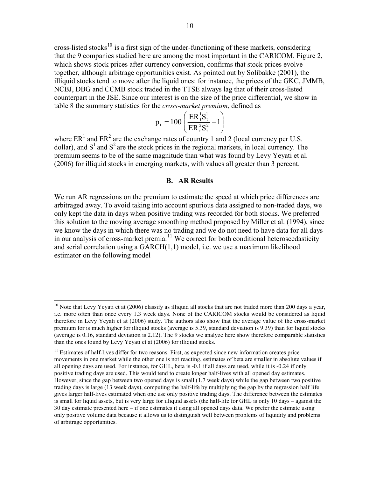<span id="page-10-0"></span>cross-listed stocks<sup>[10](#page-10-1)</sup> is a first sign of the under-functioning of these markets, considering that the 9 companies studied here are among the most important in the CARICOM. Figure 2, which shows stock prices after currency conversion, confirms that stock prices evolve together, although arbitrage opportunities exist. As pointed out by Solibakke (2001), the illiquid stocks tend to move after the liquid ones: for instance, the prices of the GKC, JMMB, NCBJ, DBG and CCMB stock traded in the TTSE always lag that of their cross-listed counterpart in the JSE. Since our interest is on the size of the price differential, we show in table 8 the summary statistics for the *cross-market premium*, defined as

$$
p_{t} = 100 \left( \frac{ER_{t}^{1}S_{t}^{1}}{ER_{t}^{2}S_{t}^{2}} - 1 \right)
$$

where  $ER<sup>1</sup>$  and  $ER<sup>2</sup>$  are the exchange rates of country 1 and 2 (local currency per U.S. dollar), and  $S^1$  and  $S^2$  are the stock prices in the regional markets, in local currency. The premium seems to be of the same magnitude than what was found by Levy Yeyati et al. (2006) for illiquid stocks in emerging markets, with values all greater than 3 percent.

#### **B. AR Results**

We run AR regressions on the premium to estimate the speed at which price differences are arbitraged away. To avoid taking into account spurious data assigned to non-traded days, we only kept the data in days when positive trading was recorded for both stocks. We preferred this solution to the moving average smoothing method proposed by Miller et al. (1994), since we know the days in which there was no trading and we do not need to have data for all days in our analysis of cross-market premia.<sup>[11](#page-10-2)</sup> We correct for both conditional heteroscedasticity and serial correlation using a GARCH(1,1) model, i.e. we use a maximum likelihood estimator on the following model

 $\overline{a}$ 

<span id="page-10-1"></span> $10$  Note that Levy Yeyati et at (2006) classify as illiquid all stocks that are not traded more than 200 days a year, i.e. more often than once every 1.3 week days. None of the CARICOM stocks would be considered as liquid therefore in Levy Yeyati et at (2006) study. The authors also show that the average value of the cross-market premium for is much higher for illiquid stocks (average is 5.39, standard deviation is 9.39) than for liquid stocks (average is 0.16, standard deviation is 2.12). The 9 stocks we analyze here show therefore comparable statistics than the ones found by Levy Yeyati et at (2006) for illiquid stocks.

<span id="page-10-2"></span> $11$  Estimates of half-lives differ for two reasons. First, as expected since new information creates price movements in one market while the other one is not reacting, estimates of beta are smaller in absolute values if all opening days are used. For instance, for GHL, beta is -0.1 if all days are used, while it is -0.24 if only positive trading days are used. This would tend to create longer half-lives with all opened day estimates. However, since the gap between two opened days is small (1.7 week days) while the gap between two positive trading days is large (13 week days), computing the half-life by multiplying the gap by the regression half life gives larger half-lives estimated when one use only positive trading days. The difference between the estimates is small for liquid assets, but is very large for illiquid assets (the half-life for GHL is only 10 days – against the 30 day estimate presented here – if one estimates it using all opened days data. We prefer the estimate using only positive volume data because it allows us to distinguish well between problems of liquidity and problems of arbitrage opportunities.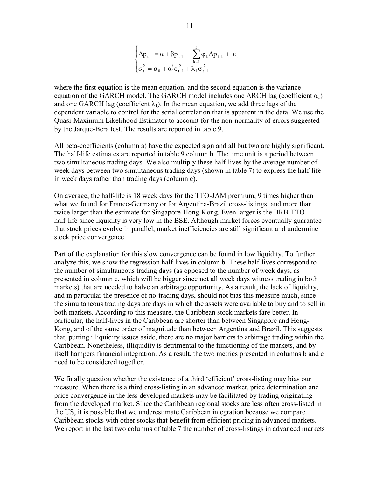$$
\begin{cases} \Delta p_{t} = \alpha + \beta p_{t-1} + \sum_{k=1}^{3} \varphi_{k} \Delta p_{t-k} + \varepsilon_{t} \\ \sigma_{t}^{2} = \alpha_{0} + \alpha_{1}^{i} \varepsilon_{t-1}^{2} + \lambda_{1} \sigma_{t-1}^{2} \end{cases}
$$

where the first equation is the mean equation, and the second equation is the variance equation of the GARCH model. The GARCH model includes one ARCH lag (coefficient  $\alpha_1$ ) and one GARCH lag (coefficient  $\lambda_1$ ). In the mean equation, we add three lags of the dependent variable to control for the serial correlation that is apparent in the data. We use the Quasi-Maximum Likelihood Estimator to account for the non-normality of errors suggested by the Jarque-Bera test. The results are reported in table 9.

All beta-coefficients (column a) have the expected sign and all but two are highly significant. The half-life estimates are reported in table 9 column b. The time unit is a period between two simultaneous trading days. We also multiply these half-lives by the average number of week days between two simultaneous trading days (shown in table 7) to express the half-life in week days rather than trading days (column c).

On average, the half-life is 18 week days for the TTO-JAM premium, 9 times higher than what we found for France-Germany or for Argentina-Brazil cross-listings, and more than twice larger than the estimate for Singapore-Hong-Kong. Even larger is the BRB-TTO half-life since liquidity is very low in the BSE. Although market forces eventually guarantee that stock prices evolve in parallel, market inefficiencies are still significant and undermine stock price convergence.

Part of the explanation for this slow convergence can be found in low liquidity. To further analyze this, we show the regression half-lives in column b. These half-lives correspond to the number of simultaneous trading days (as opposed to the number of week days, as presented in column c, which will be bigger since not all week days witness trading in both markets) that are needed to halve an arbitrage opportunity. As a result, the lack of liquidity, and in particular the presence of no-trading days, should not bias this measure much, since the simultaneous trading days are days in which the assets were available to buy and to sell in both markets. According to this measure, the Caribbean stock markets fare better. In particular, the half-lives in the Caribbean are shorter than between Singapore and Hong-Kong, and of the same order of magnitude than between Argentina and Brazil. This suggests that, putting illiquidity issues aside, there are no major barriers to arbitrage trading within the Caribbean. Nonetheless, illiquidity is detrimental to the functioning of the markets, and by itself hampers financial integration. As a result, the two metrics presented in columns b and c need to be considered together.

We finally question whether the existence of a third 'efficient' cross-listing may bias our measure. When there is a third cross-listing in an advanced market, price determination and price convergence in the less developed markets may be facilitated by trading originating from the developed market. Since the Caribbean regional stocks are less often cross-listed in the US, it is possible that we underestimate Caribbean integration because we compare Caribbean stocks with other stocks that benefit from efficient pricing in advanced markets. We report in the last two columns of table 7 the number of cross-listings in advanced markets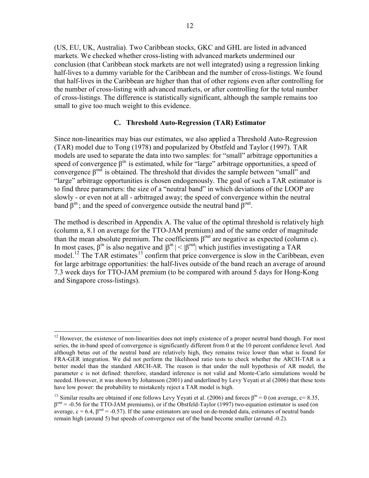<span id="page-12-0"></span>(US, EU, UK, Australia). Two Caribbean stocks, GKC and GHL are listed in advanced markets. We checked whether cross-listing with advanced markets undermined our conclusion (that Caribbean stock markets are not well integrated) using a regression linking half-lives to a dummy variable for the Caribbean and the number of cross-listings. We found that half-lives in the Caribbean are higher than that of other regions even after controlling for the number of cross-listing with advanced markets, or after controlling for the total number of cross-listings. The difference is statistically significant, although the sample remains too small to give too much weight to this evidence.

#### **C. Threshold Auto-Regression (TAR) Estimator**

Since non-linearities may bias our estimates, we also applied a Threshold Auto-Regression (TAR) model due to Tong (1978) and popularized by Obstfeld and Taylor (1997). TAR models are used to separate the data into two samples: for "small" arbitrage opportunities a speed of convergence  $\beta^{\text{in}}$  is estimated, while for "large" arbitrage opportunities, a speed of convergence  $β$ <sup>out</sup> is obtained. The threshold that divides the sample between "small" and "large" arbitrage opportunities is chosen endogenously. The goal of such a TAR estimator is to find three parameters: the size of a "neutral band" in which deviations of the LOOP are slowly - or even not at all - arbitraged away; the speed of convergence within the neutral band  $\beta^{\text{in}}$ ; and the speed of convergence outside the neutral band  $\beta^{\text{out}}$ .

The method is described in Appendix A. The value of the optimal threshold is relatively high (column a, 8.1 on average for the TTO-JAM premium) and of the same order of magnitude than the mean absolute premium. The coefficients  $\beta^{out}$  are negative as expected (column c). In most cases,  $\beta^{in}$  is also negative and  $|\beta^{in}| < |\beta^{out}|$  which justifies investigating a TAR model.<sup>[12](#page-12-1)</sup> The TAR estimates<sup>[13](#page-12-2)</sup> confirm that price convergence is slow in the Caribbean, even for large arbitrage opportunities: the half-lives outside of the band reach an average of around 7.3 week days for TTO-JAM premium (to be compared with around 5 days for Hong-Kong and Singapore cross-listings).

<span id="page-12-1"></span> $\overline{a}$  $12$  However, the existence of non-linearities does not imply existence of a proper neutral band though. For most series, the in-band speed of convergence is significantly different from 0 at the 10 percent confidence level. And although betas out of the neutral band are relatively high, they remains twice lower than what is found for FRA-GER integration. We did not perform the likelihood ratio tests to check whether the ARCH-TAR is a better model than the standard ARCH-AR. The reason is that under the null hypothesis of AR model, the parameter c is not defined: therefore, standard inference is not valid and Monte-Carlo simulations would be needed. However, it was shown by Johansson (2001) and underlined by Levy Yeyati et al (2006) that these tests have low power: the probability to mistakenly reject a TAR model is high.

<span id="page-12-2"></span><sup>&</sup>lt;sup>13</sup> Similar results are obtained if one follows Levy Yeyati et al. (2006) and forces  $\beta^{in} = 0$  (on average, c= 8.35,  $β<sup>out</sup> = -0.56$  for the TTO-JAM premiums), or if the Obstfeld-Taylor (1997) two-equation estimator is used (on average,  $c = 6.4$ ,  $\beta^{out} = -0.57$ ). If the same estimators are used on de-trended data, estimates of neutral bands remain high (around 5) but speeds of convergence out of the band become smaller (around -0.2).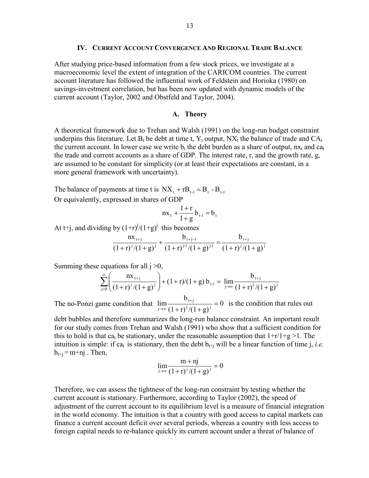#### **IV. CURRENT ACCOUNT CONVERGENCE AND REGIONAL TRADE BALANCE**

<span id="page-13-0"></span>After studying price-based information from a few stock prices, we investigate at a macroeconomic level the extent of integration of the CARICOM countries. The current account literature has followed the influential work of Feldstein and Horioka (1980) on savings-investment correlation, but has been now updated with dynamic models of the current account (Taylor, 2002 and Obstfeld and Taylor, 2004).

#### **A. Theory**

A theoretical framework due to Trehan and Walsh (1991) on the long-run budget constraint underpins this literature. Let  $B_t$  be debt at time t,  $Y_t$  output,  $NX_t$  the balance of trade and  $CA_t$ the current account. In lower case we write  $b_t$  the debt burden as a share of output,  $nx_t$  and  $ca_t$ the trade and current accounts as a share of GDP. The interest rate, r, and the growth rate, g, are assumed to be constant for simplicity (or at least their expectations are constant, in a more general framework with uncertainty).

The balance of payments at time t is  $NX_t + rB_{t-1} = B_t - B_{t-1}$ Or equivalently, expressed in shares of GDP

$$
nx_{t} + \frac{1+r}{1+g}b_{t-1} = b_{t}
$$

At t+j, and dividing by  $(1+r)^{j}/(1+g)^{j}$  this becomes

$$
\frac{nx_{t+j}}{(1+r)^{j}/(1+g)^{j}} + \frac{b_{t+j-1}}{(1+r)^{j\text{-}1}/(1+g)^{j\text{-}1}} = \frac{b_{t+j}}{(1+r)^{j}/(1+g)^{j}}
$$

Summing these equations for all  $i > 0$ ,

$$
\sum_{j=0}^{\infty} \left( \frac{n x_{t+j}}{(1+r)^j/(1+g)^j} \right) + (1+r)/(1+g) b_{t-1} = \lim_{j \to \infty} \frac{b_{t+j}}{(1+r)^j/(1+g)^j}
$$

The no-Ponzi game condition that  $\lim_{x \to 0} \frac{e^{t+1}}{x^2} = 0$  $(1+r)^{j}/(1+g)$  $b_{i+1}$  $\lim_{j\to\infty}\frac{b_{t+j}}{(1+r)^j/(1+g)^j}=0$  is the condition that rules out

debt bubbles and therefore summarizes the long-run balance constraint. An important result for our study comes from Trehan and Walsh (1991) who show that a sufficient condition for this to hold is that ca<sub>t</sub> be stationary, under the reasonable assumption that  $1+r/1+g > 1$ . The intuition is simple: if ca<sub>t</sub> is stationary, then the debt  $b_{t+i}$  will be a linear function of time j, *i.e.*  $b_{t+i}$  = m+nj. Then,

$$
\lim_{j \to \infty} \frac{m + nj}{(1 + r)^j / (1 + g)^j} = 0
$$

Therefore, we can assess the tightness of the long-run constraint by testing whether the current account is stationary. Furthermore, according to Taylor (2002), the speed of adjustment of the current account to its equilibrium level is a measure of financial integration in the world economy. The intuition is that a country with good access to capital markets can finance a current account deficit over several periods, whereas a country with less access to foreign capital needs to re-balance quickly its current account under a threat of balance of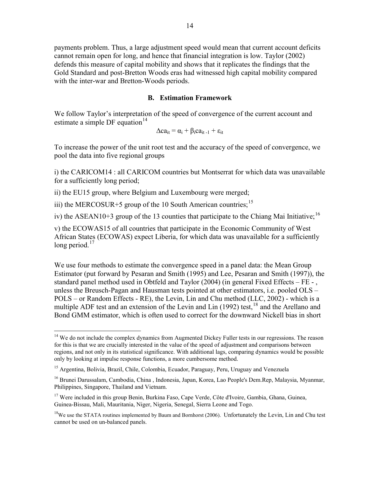<span id="page-14-0"></span>payments problem. Thus, a large adjustment speed would mean that current account deficits cannot remain open for long, and hence that financial integration is low. Taylor (2002) defends this measure of capital mobility and shows that it replicates the findings that the Gold Standard and post-Bretton Woods eras had witnessed high capital mobility compared with the inter-war and Bretton-Woods periods.

#### **B. Estimation Framework**

We follow Taylor's interpretation of the speed of convergence of the current account and estimate a simple DF equation $^{14}$  $^{14}$  $^{14}$ 

$$
\Delta ca_{it} = \alpha_i + \beta_i ca_{it-1} + \epsilon_{it}
$$

To increase the power of the unit root test and the accuracy of the speed of convergence, we pool the data into five regional groups

i) the CARICOM14 : all CARICOM countries but Montserrat for which data was unavailable for a sufficiently long period;

ii) the EU15 group, where Belgium and Luxembourg were merged;

iii) the MERCOSUR+5 group of the 10 South American countries;  $1<sup>5</sup>$ 

iv) the ASEAN10+3 group of the 13 counties that participate to the Chiang Mai Initiative;  $^{16}$  $^{16}$  $^{16}$ 

v) the ECOWAS15 of all countries that participate in the Economic Community of West African States (ECOWAS) expect Liberia, for which data was unavailable for a sufficiently long period. $17$ 

We use four methods to estimate the convergence speed in a panel data: the Mean Group Estimator (put forward by Pesaran and Smith (1995) and Lee, Pesaran and Smith (1997)), the standard panel method used in Obtfeld and Taylor (2004) (in general Fixed Effects – FE - , unless the Breusch-Pagan and Hausman tests pointed at other estimators, i.e. pooled OLS – POLS – or Random Effects - RE), the Levin, Lin and Chu method (LLC, 2002) - which is a multiple ADF test and an extension of the Levin and Lin (1992) test,  $^{18}$  $^{18}$  $^{18}$  and the Arellano and Bond GMM estimator, which is often used to correct for the downward Nickell bias in short

<span id="page-14-1"></span><sup>&</sup>lt;sup>14</sup> We do not include the complex dynamics from Augmented Dickey Fuller tests in our regressions. The reason for this is that we are crucially interested in the value of the speed of adjustment and comparisons between regions, and not only in its statistical significance. With additional lags, comparing dynamics would be possible only by looking at impulse response functions, a more cumbersome method.

<span id="page-14-2"></span><sup>&</sup>lt;sup>15</sup> Argentina, Bolivia, Brazil, Chile, Colombia, Ecuador, Paraguay, Peru, Uruguay and Venezuela

<span id="page-14-3"></span><sup>&</sup>lt;sup>16</sup> Brunei Darussalam, Cambodia, China, Indonesia, Japan, Korea, Lao People's Dem.Rep, Malaysia, Myanmar, Philippines, Singapore, Thailand and Vietnam.

<span id="page-14-4"></span><sup>&</sup>lt;sup>17</sup> Were included in this group Benin, Burkina Faso, Cape Verde, Côte d'Ivoire, Gambia, Ghana, Guinea, Guinea-Bissau, Mali, Mauritania, Niger, Nigeria, Senegal, Sierra Leone and Togo.

<span id="page-14-5"></span><sup>&</sup>lt;sup>18</sup>We use the STATA routines implemented by Baum and Bornhorst (2006). Unfortunately the Levin, Lin and Chu test cannot be used on un-balanced panels.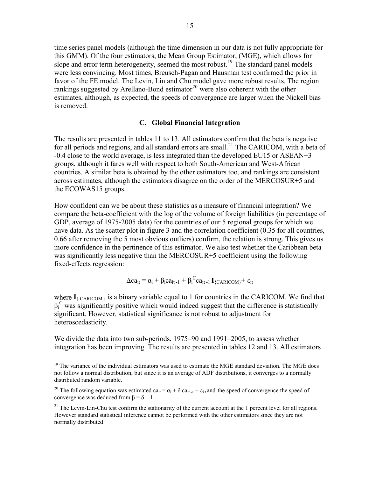<span id="page-15-0"></span>time series panel models (although the time dimension in our data is not fully appropriate for this GMM). Of the four estimators, the Mean Group Estimator, (MGE), which allows for slope and error term heterogeneity, seemed the most robust.<sup>[19](#page-15-1)</sup> The standard panel models were less convincing. Most times, Breusch-Pagan and Hausman test confirmed the prior in favor of the FE model. The Levin, Lin and Chu model gave more robust results. The region rankings suggested by Arellano-Bond estimator<sup>[20](#page-15-2)</sup> were also coherent with the other estimates, although, as expected, the speeds of convergence are larger when the Nickell bias is removed.

#### **C. Global Financial Integration**

The results are presented in tables 11 to 13. All estimators confirm that the beta is negative for all periods and regions, and all standard errors are small.<sup>[21](#page-15-3)</sup> The CARICOM, with a beta of -0.4 close to the world average, is less integrated than the developed EU15 or ASEAN+3 groups, although it fares well with respect to both South-American and West-African countries. A similar beta is obtained by the other estimators too, and rankings are consistent across estimates, although the estimators disagree on the order of the MERCOSUR+5 and the ECOWAS15 groups.

How confident can we be about these statistics as a measure of financial integration? We compare the beta-coefficient with the log of the volume of foreign liabilities (in percentage of GDP, average of 1975-2005 data) for the countries of our 5 regional groups for which we have data. As the scatter plot in figure 3 and the correlation coefficient (0.35 for all countries, 0.66 after removing the 5 most obvious outliers) confirm, the relation is strong. This gives us more confidence in the pertinence of this estimator. We also test whether the Caribbean beta was significantly less negative than the MERCOSUR+5 coefficient using the following fixed-effects regression:

$$
\Delta ca_{it} = \alpha_i + \beta_i ca_{it-1} + \beta_i{}^C ca_{it-1} \, \mathbf{I}_{\{CARICOM\}} + \epsilon_{it}
$$

where  $I_{\{CARICOM\}}$  is a binary variable equal to 1 for countries in the CARICOM. We find that  $\beta_i^C$  was significantly positive which would indeed suggest that the difference is statistically significant. However, statistical significance is not robust to adjustment for heteroscedasticity.

We divide the data into two sub-periods, 1975–90 and 1991–2005, to assess whether integration has been improving. The results are presented in tables 12 and 13. All estimators

<u>.</u>

<span id="page-15-1"></span> $19$  The variance of the individual estimators was used to estimate the MGE standard deviation. The MGE does not follow a normal distribution; but since it is an average of ADF distributions, it converges to a normally distributed random variable.

<span id="page-15-2"></span><sup>&</sup>lt;sup>20</sup> The following equation was estimated ca<sub>it</sub> =  $\alpha_i$  +  $\delta$  ca<sub>it-1</sub> +  $\varepsilon$ <sub>it</sub> and the speed of convergence the speed of convergence was deduced from  $\beta = \delta - 1$ .

<span id="page-15-3"></span><sup>&</sup>lt;sup>21</sup> The Levin-Lin-Chu test confirm the stationarity of the current account at the 1 percent level for all regions. However standard statistical inference cannot be performed with the other estimators since they are not normally distributed.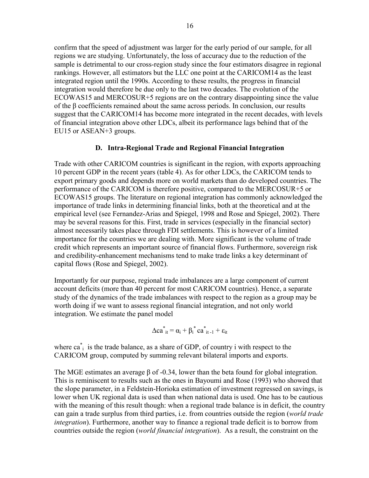<span id="page-16-0"></span>confirm that the speed of adjustment was larger for the early period of our sample, for all regions we are studying. Unfortunately, the loss of accuracy due to the reduction of the sample is detrimental to our cross-region study since the four estimators disagree in regional rankings. However, all estimators but the LLC one point at the CARICOM14 as the least integrated region until the 1990s. According to these results, the progress in financial integration would therefore be due only to the last two decades. The evolution of the ECOWAS15 and MERCOSUR+5 regions are on the contrary disappointing since the value of the β coefficients remained about the same across periods. In conclusion, our results suggest that the CARICOM14 has become more integrated in the recent decades, with levels of financial integration above other LDCs, albeit its performance lags behind that of the EU15 or ASEAN+3 groups.

## **D. Intra-Regional Trade and Regional Financial Integration**

Trade with other CARICOM countries is significant in the region, with exports approaching 10 percent GDP in the recent years (table 4). As for other LDCs, the CARICOM tends to export primary goods and depends more on world markets than do developed countries. The performance of the CARICOM is therefore positive, compared to the MERCOSUR+5 or ECOWAS15 groups. The literature on regional integration has commonly acknowledged the importance of trade links in determining financial links, both at the theoretical and at the empirical level (see Fernandez-Arias and Spiegel, 1998 and Rose and Spiegel, 2002). There may be several reasons for this. First, trade in services (especially in the financial sector) almost necessarily takes place through FDI settlements. This is however of a limited importance for the countries we are dealing with. More significant is the volume of trade credit which represents an important source of financial flows. Furthermore, sovereign risk and credibility-enhancement mechanisms tend to make trade links a key determinant of capital flows (Rose and Spiegel, 2002).

Importantly for our purpose, regional trade imbalances are a large component of current account deficits (more than 40 percent for most CARICOM countries). Hence, a separate study of the dynamics of the trade imbalances with respect to the region as a group may be worth doing if we want to assess regional financial integration, and not only world integration. We estimate the panel model

$$
\Delta ca_{it}^* = \alpha_i + \beta_i^* ca_{it-1}^* + \varepsilon_{it}
$$

where ca<sup>\*</sup><sub>i</sub> is the trade balance, as a share of GDP, of country i with respect to the CARICOM group, computed by summing relevant bilateral imports and exports.

The MGE estimates an average β of -0.34, lower than the beta found for global integration. This is reminiscent to results such as the ones in Bayoumi and Rose (1993) who showed that the slope parameter, in a Feldstein-Horioka estimation of investment regressed on savings, is lower when UK regional data is used than when national data is used. One has to be cautious with the meaning of this result though: when a regional trade balance is in deficit, the country can gain a trade surplus from third parties, i.e. from countries outside the region (*world trade integration*). Furthermore, another way to finance a regional trade deficit is to borrow from countries outside the region (*world financial integration*). As a result, the constraint on the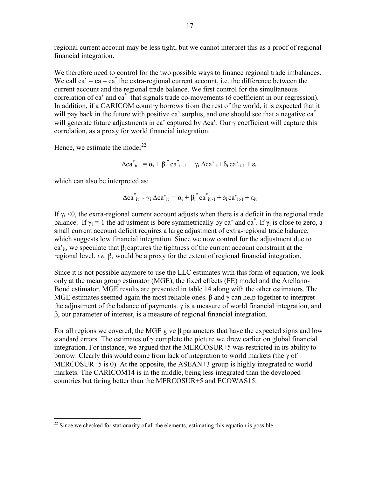regional current account may be less tight, but we cannot interpret this as a proof of regional financial integration.

We therefore need to control for the two possible ways to finance regional trade imbalances. We call  $ca' = ca - ca^*$  the extra-regional current account, i.e. the difference between the current account and the regional trade balance. We first control for the simultaneous correlation of ca' and  $ca^*$  that signals trade co-movements ( $\delta$  coefficient in our regression). In addition, if a CARICOM country borrows from the rest of the world, it is expected that it will pay back in the future with positive ca' surplus, and one should see that a negative ca<sup>\*</sup> will generate future adjustments in ca' captured by ∆ca'. Our γ coefficient will capture this correlation, as a proxy for world financial integration.

Hence, we estimate the model<sup>[22](#page-17-0)</sup>

$$
\Delta ca_{it}^{*} = \alpha_i + \beta_i^{*} ca_{it-1}^{*} + \gamma_i \Delta ca_{it}^{*} + \delta_i ca_{it-1}^{*} + \epsilon_{it}
$$

which can also be interpreted as:

$$
\Delta ca_{it}^* - \gamma_i \, \Delta ca_{it}^* = \alpha_i + \beta_i^* \, ca_{it-1}^* + \delta_i \, ca_{it-1}^* + \epsilon_{it}
$$

If  $\gamma_i$  <0, the extra-regional current account adjusts when there is a deficit in the regional trade balance. If  $\gamma_i = -1$  the adjustment is bore symmetrically by ca' and ca<sup>\*</sup>. If  $\gamma_i$  is close to zero, a small current account deficit requires a large adjustment of extra-regional trade balance, which suggests low financial integration. Since we now control for the adjustment due to ca'<sub>it</sub>, we speculate that  $\beta_i$  captures the tightness of the current account constraint at the regional level, *i.e.* β<sub>i</sub> would be a proxy for the extent of regional financial integration.

Since it is not possible anymore to use the LLC estimates with this form of equation, we look only at the mean group estimator (MGE), the fixed effects (FE) model and the Arellano-Bond estimator. MGE results are presented in table 14 along with the other estimators. The MGE estimates seemed again the most reliable ones.  $\beta$  and  $\gamma$  can help together to interpret the adjustment of the balance of payments.  $\gamma$  is a measure of world financial integration, and β, our parameter of interest, is a measure of regional financial integration.

For all regions we covered, the MGE give  $\beta$  parameters that have the expected signs and low standard errors. The estimates of γ complete the picture we drew earlier on global financial integration. For instance, we argued that the MERCOSUR+5 was restricted in its ability to borrow. Clearly this would come from lack of integration to world markets (the γ of MERCOSUR+5 is 0). At the opposite, the ASEAN+3 group is highly integrated to world markets. The CARICOM14 is in the middle, being less integrated than the developed countries but faring better than the MERCOSUR+5 and ECOWAS15.

<span id="page-17-0"></span> $\overline{a}$  $22$  Since we checked for stationarity of all the elements, estimating this equation is possible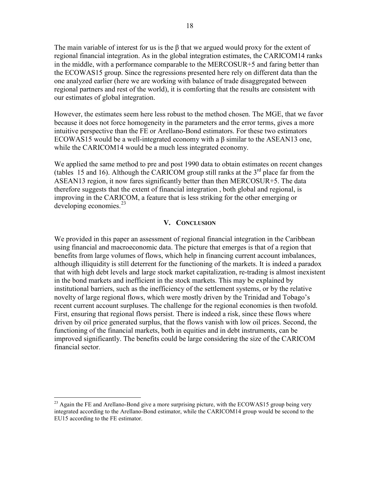<span id="page-18-0"></span>The main variable of interest for us is the β that we argued would proxy for the extent of regional financial integration. As in the global integration estimates, the CARICOM14 ranks in the middle, with a performance comparable to the MERCOSUR+5 and faring better than the ECOWAS15 group. Since the regressions presented here rely on different data than the one analyzed earlier (here we are working with balance of trade disaggregated between regional partners and rest of the world), it is comforting that the results are consistent with our estimates of global integration.

However, the estimates seem here less robust to the method chosen. The MGE, that we favor because it does not force homogeneity in the parameters and the error terms, gives a more intuitive perspective than the FE or Arellano-Bond estimators. For these two estimators ECOWAS15 would be a well-integrated economy with a β similar to the ASEAN13 one, while the CARICOM14 would be a much less integrated economy.

We applied the same method to pre and post 1990 data to obtain estimates on recent changes (tables 15 and 16). Although the CARICOM group still ranks at the  $3<sup>rd</sup>$  place far from the ASEAN13 region, it now fares significantly better than then MERCOSUR+5. The data therefore suggests that the extent of financial integration , both global and regional, is improving in the CARICOM, a feature that is less striking for the other emerging or developing economies. $^{23}$  $^{23}$  $^{23}$ 

#### **V. CONCLUSION**

We provided in this paper an assessment of regional financial integration in the Caribbean using financial and macroeconomic data. The picture that emerges is that of a region that benefits from large volumes of flows, which help in financing current account imbalances, although illiquidity is still deterrent for the functioning of the markets. It is indeed a paradox that with high debt levels and large stock market capitalization, re-trading is almost inexistent in the bond markets and inefficient in the stock markets. This may be explained by institutional barriers, such as the inefficiency of the settlement systems, or by the relative novelty of large regional flows, which were mostly driven by the Trinidad and Tobago's recent current account surpluses. The challenge for the regional economies is then twofold. First, ensuring that regional flows persist. There is indeed a risk, since these flows where driven by oil price generated surplus, that the flows vanish with low oil prices. Second, the functioning of the financial markets, both in equities and in debt instruments, can be improved significantly. The benefits could be large considering the size of the CARICOM financial sector.

 $\overline{a}$ 

<span id="page-18-1"></span><sup>&</sup>lt;sup>23</sup> Again the FE and Arellano-Bond give a more surprising picture, with the ECOWAS15 group being very integrated according to the Arellano-Bond estimator, while the CARICOM14 group would be second to the EU15 according to the FE estimator.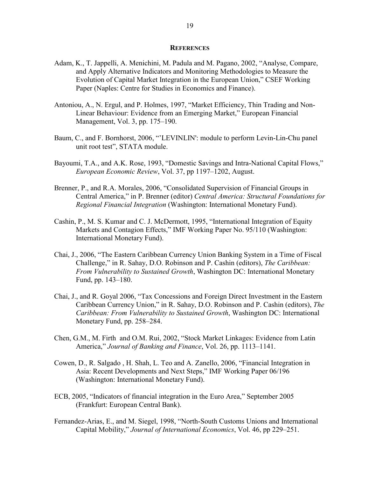#### **REFERENCES**

- <span id="page-19-0"></span>Adam, K., T. Jappelli, A. Menichini, M. Padula and M. Pagano, 2002, "Analyse, Compare, and Apply Alternative Indicators and Monitoring Methodologies to Measure the Evolution of Capital Market Integration in the European Union," CSEF Working Paper (Naples: Centre for Studies in Economics and Finance).
- Antoniou, A., N. Ergul, and P. Holmes, 1997, "Market Efficiency, Thin Trading and Non- Linear Behaviour: Evidence from an Emerging Market," European Financial Management, Vol. 3, pp. 175–190.
- Baum, C., and F. Bornhorst, 2006, "'LEVINLIN': module to perform Levin-Lin-Chu panel unit root test", STATA module.
- Bayoumi, T.A., and A.K. Rose, 1993, "Domestic Savings and Intra-National Capital Flows," *European Economic Review*, Vol. 37, pp 1197–1202, August.
- Brenner, P., and R.A. Morales, 2006, "Consolidated Supervision of Financial Groups in Central America," in P. Brenner (editor) *Central America: Structural Foundations for Regional Financial Integration* (Washington: International Monetary Fund).
- Cashin, P., M. S. Kumar and C. J. McDermott, 1995, "International Integration of Equity Markets and Contagion Effects," IMF Working Paper No. 95/110 (Washington: International Monetary Fund).
- Chai, J., 2006, "The Eastern Caribbean Currency Union Banking System in a Time of Fiscal Challenge," in R. Sahay, D.O. Robinson and P. Cashin (editors), *The Caribbean: From Vulnerability to Sustained Growth*, Washington DC: International Monetary Fund, pp. 143–180.
- Chai, J., and R. Goyal 2006, "Tax Concessions and Foreign Direct Investment in the Eastern Caribbean Currency Union," in R. Sahay, D.O. Robinson and P. Cashin (editors), *The Caribbean: From Vulnerability to Sustained Growth*, Washington DC: International Monetary Fund, pp. 258–284.
- Chen, G.M., M. Firth and O.M. Rui, 2002, "Stock Market Linkages: Evidence from Latin America," *Journal of Banking and Finance*, Vol. 26, pp. 1113–1141.
- Cowen, D., R. Salgado , H. Shah, L. Teo and A. Zanello, 2006, "Financial Integration in Asia: Recent Developments and Next Steps," IMF Working Paper 06/196 (Washington: International Monetary Fund).
- ECB, 2005, "Indicators of financial integration in the Euro Area," September 2005 (Frankfurt: European Central Bank).
- Fernandez-Arias, E., and M. Siegel, 1998, "North-South Customs Unions and International Capital Mobility," *Journal of International Economics*, Vol. 46, pp 229–251.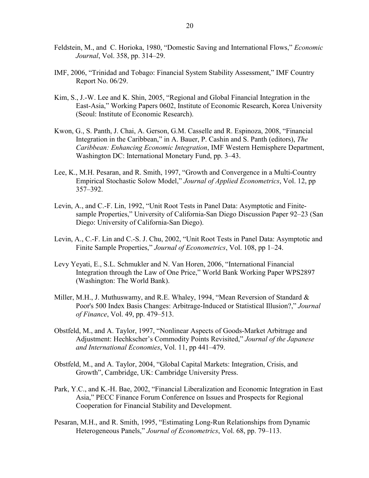- Feldstein, M., and C. Horioka, 1980, "Domestic Saving and International Flows," *Economic Journal*, Vol. 358, pp. 314–29.
- IMF, 2006, "Trinidad and Tobago: Financial System Stability Assessment," IMF Country Report No. 06/29.
- Kim, S., J.-W. Lee and K. Shin, 2005, "Regional and Global Financial Integration in the East-Asia," Working Papers 0602, Institute of Economic Research, Korea University (Seoul: Institute of Economic Research).
- Kwon, G., S. Panth, J. Chai, A. Gerson, G.M. Casselle and R. Espinoza, 2008, "Financial Integration in the Caribbean," in A. Bauer, P. Cashin and S. Panth (editors), *The Caribbean: Enhancing Economic Integration*, IMF Western Hemisphere Department, Washington DC: International Monetary Fund, pp. 3–43.
- Lee, K., M.H. Pesaran, and R. Smith, 1997, "Growth and Convergence in a Multi-Country Empirical Stochastic Solow Model," *Journal of Applied Econometrics*, Vol. 12, pp 357–392.
- Levin, A., and C.-F. Lin, 1992, "Unit Root Tests in Panel Data: Asymptotic and Finite sample Properties," University of California-San Diego Discussion Paper 92–23 (San Diego: University of California-San Diego).
- Levin, A., C.-F. Lin and C.-S. J. Chu, 2002, "Unit Root Tests in Panel Data: Asymptotic and Finite Sample Properties," *Journal of Econometrics*, Vol. 108, pp 1–24.
- Levy Yeyati, E., S.L. Schmukler and N. Van Horen, 2006, "International Financial Integration through the Law of One Price," World Bank Working Paper WPS2897 (Washington: The World Bank).
- Miller, M.H., J. Muthuswamy, and R.E. Whaley, 1994, "Mean Reversion of Standard & Poor's 500 Index Basis Changes: Arbitrage-Induced or Statistical Illusion?," *Journal of Finance*, Vol. 49, pp. 479–513.
- Obstfeld, M., and A. Taylor, 1997, "Nonlinear Aspects of Goods-Market Arbitrage and Adjustment: Hechkscher's Commodity Points Revisited," *Journal of the Japanese and International Economies*, Vol. 11, pp 441–479.
- Obstfeld, M., and A. Taylor, 2004, "Global Capital Markets: Integration, Crisis, and Growth", Cambridge, UK: Cambridge University Press.
- Park, Y.C., and K.-H. Bae, 2002, "Financial Liberalization and Economic Integration in East Asia," PECC Finance Forum Conference on Issues and Prospects for Regional Cooperation for Financial Stability and Development.
- Pesaran, M.H., and R. Smith, 1995, "Estimating Long-Run Relationships from Dynamic Heterogeneous Panels," *Journal of Econometrics*, Vol. 68, pp. 79–113.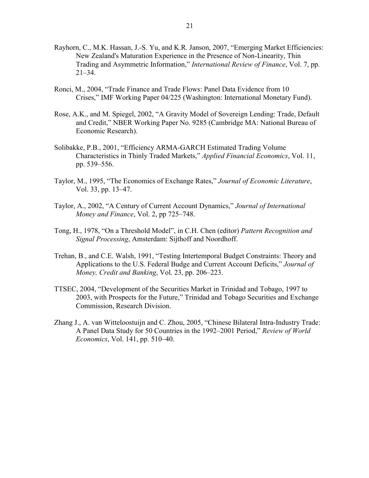- Rayhorn, C., M.K. Hassan, J.-S. Yu, and K.R. Janson, 2007, "Emerging Market Efficiencies: New Zealand's Maturation Experience in the Presence of Non-Linearity, Thin Trading and Asymmetric Information," *International Review of Finance*, Vol. 7, pp. 21–34.
- Ronci, M., 2004, "Trade Finance and Trade Flows: Panel Data Evidence from 10 Crises," IMF Working Paper 04/225 (Washington: International Monetary Fund).
- Rose, A.K., and M. Spiegel, 2002, "A Gravity Model of Sovereign Lending: Trade, Default and Credit," NBER Working Paper No. 9285 (Cambridge MA: National Bureau of Economic Research).
- Solibakke, P.B., 2001, "Efficiency ARMA-GARCH Estimated Trading Volume Characteristics in Thinly Traded Markets," *Applied Financial Economics*, Vol. 11, pp. 539–556.
- Taylor, M., 1995, "The Economics of Exchange Rates," *Journal of Economic Literature*, Vol. 33, pp. 13–47.
- Taylor, A., 2002, "A Century of Current Account Dynamics," *Journal of International Money and Finance*, Vol. 2, pp 725–748.
- Tong, H., 1978, "On a Threshold Model", in C.H. Chen (editor) *Pattern Recognition and Signal Processing*, Amsterdam: Sijthoff and Noordhoff.
- Trehan, B., and C.E. Walsh, 1991, "Testing Intertemporal Budget Constraints: Theory and Applications to the U.S. Federal Budge and Current Account Deficits," *Journal of Money, Credit and Banking*, Vol. 23, pp. 206–223.
- TTSEC, 2004, "Development of the Securities Market in Trinidad and Tobago, 1997 to 2003, with Prospects for the Future," Trinidad and Tobago Securities and Exchange Commission, Research Division.
- Zhang J., A. van Witteloostuijn and C. Zhou, 2005, "Chinese Bilateral Intra-Industry Trade: A Panel Data Study for 50 Countries in the 1992–2001 Period," *Review of World Economics*, Vol. 141, pp. 510–40.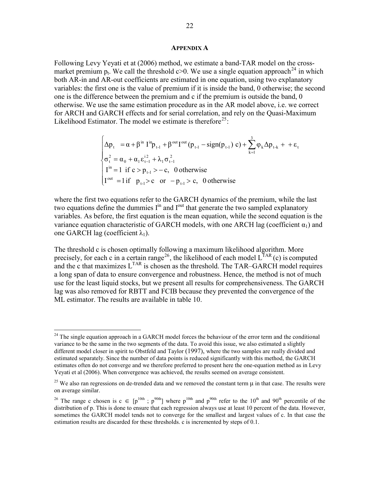#### **APPENDIX A**

<span id="page-22-0"></span>Following Levy Yeyati et at (2006) method, we estimate a band-TAR model on the crossmarket premium p<sub>t</sub>. We call the threshold c $>0$ . We use a single equation approach<sup>[24](#page-22-1)</sup> in which both AR-in and AR-out coefficients are estimated in one equation, using two explanatory variables: the first one is the value of premium if it is inside the band, 0 otherwise; the second one is the difference between the premium and c if the premium is outside the band, 0 otherwise. We use the same estimation procedure as in the AR model above, i.e. we correct for ARCH and GARCH effects and for serial correlation, and rely on the Quasi-Maximum Likelihood Estimator. The model we estimate is therefore<sup>[25](#page-22-2)</sup>:

$$
\begin{cases}\n\Delta p_{t} = \alpha + \beta^{\text{in}} I^{\text{in}} p_{t-1} + \beta^{\text{out}} I^{\text{out}} (p_{t-1} - \text{sign}(p_{t-1}) c) + \sum_{k=1}^{3} \varphi_{k} \Delta p_{t-k} + + \varepsilon_{t} \\
\sigma_{t}^{2} = \alpha_{0} + \alpha_{1} \varepsilon_{t-1}^{i2} + \lambda_{1} \sigma_{t-1}^{2} \\
I^{\text{in}} = 1 \text{ if } c > p_{t-1} > -c, \quad 0 \text{ otherwise} \\
I^{\text{out}} = 1 \text{ if } p_{t-1} > c \quad \text{or } -p_{t-1} > c, \quad 0 \text{ otherwise}\n\end{cases}
$$

where the first two equations refer to the GARCH dynamics of the premium, while the last two equations define the dummies  $I<sup>in</sup>$  and  $I<sup>out</sup>$  that generate the two sampled explanatory variables. As before, the first equation is the mean equation, while the second equation is the variance equation characteristic of GARCH models, with one ARCH lag (coefficient  $\alpha_1$ ) and one GARCH lag (coefficient  $\lambda_1$ ).

The threshold c is chosen optimally following a maximum likelihood algorithm. More precisely, for each c in a certain range<sup>[26](#page-22-3)</sup>, the likelihood of each model  $L^{TAR}(c)$  is computed and the c that maximizes L<sup>TAR</sup> is chosen as the threshold. The TAR–GARCH model requires a long span of data to ensure convergence and robustness. Hence, the method is not of much use for the least liquid stocks, but we present all results for comprehensiveness. The GARCH lag was also removed for RBTT and FCIB because they prevented the convergence of the ML estimator. The results are available in table 10.

 $\overline{a}$ 

<span id="page-22-1"></span> $24$  The single equation approach in a GARCH model forces the behaviour of the error term and the conditional variance to be the same in the two segments of the data. To avoid this issue, we also estimated a slightly different model closer in spirit to Obstfeld and Taylor (1997), where the two samples are really divided and estimated separately. Since the number of data points is reduced significantly with this method, the GARCH estimates often do not converge and we therefore preferred to present here the one-equation method as in Levy Yeyati et al (2006). When convergence was achieved, the results seemed on average consistent.

<span id="page-22-2"></span><sup>&</sup>lt;sup>25</sup> We also ran regressions on de-trended data and we removed the constant term  $\mu$  in that case. The results were on average similar.

<span id="page-22-3"></span><sup>&</sup>lt;sup>26</sup> The range c chosen is c  $\in$  [p<sup>10th</sup> ; p<sup>90th</sup>] where p<sup>10th</sup> and p<sup>90th</sup> refer to the 10<sup>th</sup> and 90<sup>th</sup> percentile of the distribution of p. This is done to ensure that each regression always use at least 10 percent of the data. However, sometimes the GARCH model tends not to converge for the smallest and largest values of c. In that case the estimation results are discarded for these thresholds. c is incremented by steps of 0.1.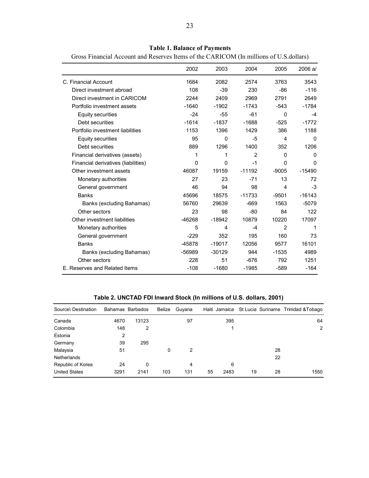|                                     | 2002     | 2003     | 2004           | 2005           | 2006 a/      |
|-------------------------------------|----------|----------|----------------|----------------|--------------|
| C. Financial Account                | 1684     | 2082     | 2574           | 3763           | 3543         |
| Direct investment abroad            | 108      | $-39$    | 230            | -86            | $-116$       |
| Direct investment in CARICOM        | 2244     | 2409     | 2969           | 2791           | 2649         |
| Portfolio investment assets         | $-1640$  | $-1902$  | $-1743$        | $-543$         | $-1784$      |
| <b>Equity securities</b>            | $-24$    | $-55$    | $-61$          | 0              | $-4$         |
| Debt securities                     | $-1614$  | $-1837$  | $-1688$        | $-525$         | $-1772$      |
| Portfolio investment liabilities    | 1153     | 1396     | 1429           | 386            | 1188         |
| Equity securities                   | 95       | $\Omega$ | -5             | 4              | $\Omega$     |
| Debt securities                     | 889      | 1296     | 1400           | 352            | 1206         |
| Financial derivatives (assets)      | 1        | 1        | $\overline{2}$ | $\Omega$       | $\Omega$     |
| Financial derivatives (liabilities) | 0        | 0        | $-1$           | 0              | $\mathbf{0}$ |
| Other investment assets             | 46087    | 19159    | $-11192$       | $-9005$        | $-15490$     |
| Monetary authorities                | 27       | 23       | $-71$          | 13             | 72           |
| General government                  | 46       | 94       | 98             | 4              | $-3$         |
| <b>Banks</b>                        | 45696    | 18575    | $-11733$       | $-9501$        | $-16143$     |
| Banks (excluding Bahamas)           | 56760    | 29639    | $-669$         | 1563           | $-5079$      |
| Other sectors                       | 23       | 98       | $-80$          | 84             | 122          |
| Other investment liabilities        | $-46268$ | $-18942$ | 10879          | 10220          | 17097        |
| Monetary authorities                | 5        | 4        | $-4$           | $\overline{2}$ | 1            |
| General government                  | $-229$   | 352      | 195            | 160            | 73           |
| <b>Banks</b>                        | $-45878$ | $-19017$ | 12056          | 9577           | 16101        |
| Banks (excluding Bahamas)           | -56989   | $-30129$ | 944            | $-1535$        | 4989         |
| Other sectors                       | 228      | 51       | $-676$         | 792            | 1251         |
| E. Reserves and Related Items       | $-108$   | $-1680$  | $-1985$        | $-589$         | $-164$       |

**Table 1. Balance of Payments**

<span id="page-23-0"></span>Gross Financial Account and Reserves Items of the CARICOM (In millions of U.S.dollars)

**Table 2. UNCTAD FDI Inward Stock (In millions of U.S. dollars, 2001)**

| Source\ Destination  |      | Bahamas Barbados | Belize | Guyana | Haiti Jamaica |          | St Lucia Suriname Trinidad & Tobago |
|----------------------|------|------------------|--------|--------|---------------|----------|-------------------------------------|
| Canada               | 4670 | 13123            |        | 97     | 395           |          | 64                                  |
| Colombia             | 148  | 2                |        |        |               |          | $\overline{2}$                      |
| Estonia              | 2    |                  |        |        |               |          |                                     |
| Germany              | 39   | 295              |        |        |               |          |                                     |
| Malaysia             | 51   |                  | 0      | 2      |               | 28       |                                     |
| <b>Netherlands</b>   |      |                  |        |        |               | 22       |                                     |
| Republic of Korea    | 24   | 0                |        | 4      | 6             |          |                                     |
| <b>United States</b> | 3291 | 2141             | 103    | 131    | 2483<br>55    | 19<br>28 | 1550                                |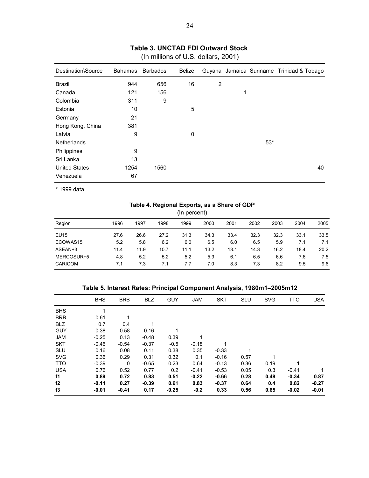<span id="page-24-0"></span>

| Destination\Source   | <b>Bahamas</b> | <b>Barbados</b> | Belize |                |   |       | Guyana Jamaica Suriname Trinidad & Tobago |
|----------------------|----------------|-----------------|--------|----------------|---|-------|-------------------------------------------|
| Brazil               | 944            | 656             | 16     | $\overline{2}$ |   |       |                                           |
| Canada               | 121            | 156             |        |                | 1 |       |                                           |
| Colombia             | 311            | 9               |        |                |   |       |                                           |
| Estonia              | 10             |                 | 5      |                |   |       |                                           |
| Germany              | 21             |                 |        |                |   |       |                                           |
| Hong Kong, China     | 381            |                 |        |                |   |       |                                           |
| Latvia               | 9              |                 | 0      |                |   |       |                                           |
| <b>Netherlands</b>   |                |                 |        |                |   | $53*$ |                                           |
| Philippines          | 9              |                 |        |                |   |       |                                           |
| Sri Lanka            | 13             |                 |        |                |   |       |                                           |
| <b>United States</b> | 1254           | 1560            |        |                |   |       | 40                                        |
| Venezuela            | 67             |                 |        |                |   |       |                                           |
|                      |                |                 |        |                |   |       |                                           |

## **Table 3. UNCTAD FDI Outward Stock**

(In millions of U.S. dollars, 2001)

\* 1999 data

#### **Table 4. Regional Exports, as a Share of GDP**

(In percent)

| Region         | 1996 | 1997 | 1998 | 1999 | 2000 | 2001 | 2002 | 2003 | 2004 | 2005 |
|----------------|------|------|------|------|------|------|------|------|------|------|
| <b>EU15</b>    | 27.6 | 26.6 | 27.2 | 31.3 | 34.3 | 33.4 | 32.3 | 32.3 | 33.1 | 33.5 |
| ECOWAS15       | 5.2  | 5.8  | 6.2  | 6.0  | 6.5  | 6.0  | 6.5  | 5.9  | 7.1  | 7.1  |
| ASEAN+3        | 11.4 | 11.9 | 10.7 | 11.1 | 13.2 | 13.1 | 14.3 | 16.2 | 18.4 | 20.2 |
| MERCOSUR+5     | 4.8  | 5.2  | 5.2  | 5.2  | 5.9  | 6.1  | 6.5  | 6.6  | 7.6  | 7.5  |
| <b>CARICOM</b> | 7.1  | 7.3  | 7.1  | 7.7  | 7.0  | 8.3  | 7.3  | 8.2  | 9.5  | 9.6  |
|                |      |      |      |      |      |      |      |      |      |      |

## **Table 5. Interest Rates: Principal Component Analysis, 1980m1–2005m12**

|            | <b>BHS</b> | <b>BRB</b>  | <b>BLZ</b> | <b>GUY</b> | <b>JAM</b> | <b>SKT</b> | <b>SLU</b> | <b>SVG</b> | <b>TTO</b> | <b>USA</b> |
|------------|------------|-------------|------------|------------|------------|------------|------------|------------|------------|------------|
| <b>BHS</b> |            |             |            |            |            |            |            |            |            |            |
| <b>BRB</b> | 0.61       |             |            |            |            |            |            |            |            |            |
| <b>BLZ</b> | 0.7        | 0.4         |            |            |            |            |            |            |            |            |
| <b>GUY</b> | 0.38       | 0.58        | 0.16       |            |            |            |            |            |            |            |
| <b>JAM</b> | $-0.25$    | 0.13        | $-0.48$    | 0.39       |            |            |            |            |            |            |
| <b>SKT</b> | $-0.46$    | $-0.54$     | $-0.37$    | $-0.5$     | $-0.18$    |            |            |            |            |            |
| <b>SLU</b> | 0.16       | 0.08        | 0.11       | 0.38       | 0.35       | $-0.33$    |            |            |            |            |
| <b>SVG</b> | 0.36       | 0.29        | 0.31       | 0.32       | 0.1        | $-0.16$    | 0.57       |            |            |            |
| <b>TTO</b> | $-0.39$    | $\mathbf 0$ | $-0.65$    | 0.23       | 0.64       | $-0.13$    | 0.36       | 0.19       |            |            |
| <b>USA</b> | 0.76       | 0.52        | 0.77       | 0.2        | $-0.41$    | $-0.53$    | 0.05       | 0.3        | $-0.41$    |            |
| f1         | 0.89       | 0.72        | 0.83       | 0.51       | $-0.22$    | $-0.66$    | 0.28       | 0.48       | $-0.34$    | 0.87       |
| f2         | $-0.11$    | 0.27        | $-0.39$    | 0.61       | 0.83       | $-0.37$    | 0.64       | 0.4        | 0.82       | $-0.27$    |
| f3         | $-0.01$    | $-0.41$     | 0.17       | $-0.25$    | $-0.2$     | 0.33       | 0.56       | 0.65       | $-0.02$    | $-0.01$    |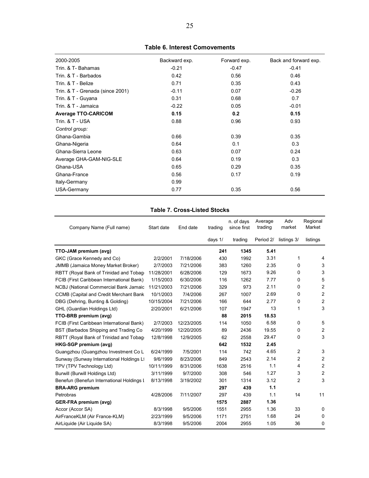<span id="page-25-0"></span>

| 2000-2005                        | Backward exp. | Forward exp. | Back and forward exp. |
|----------------------------------|---------------|--------------|-----------------------|
| Trin, & T- Bahamas               | $-0.21$       | $-0.47$      | $-0.41$               |
| Trin. & T - Barbados             | 0.42          | 0.56         | 0.46                  |
| Trin, & T - Belize               | 0.71          | 0.35         | 0.43                  |
| Trin. & T - Grenada (since 2001) | $-0.11$       | 0.07         | $-0.26$               |
| Trin. & T - Guyana               | 0.31          | 0.68         | 0.7                   |
| Trin, & T - Jamaica              | $-0.22$       | 0.05         | $-0.01$               |
| <b>Average TTO-CARICOM</b>       | 0.15          | 0.2          | 0.15                  |
| Trin. & T - USA                  | 0.88          | 0.96         | 0.93                  |
| Control group:                   |               |              |                       |
| Ghana-Gambia                     | 0.66          | 0.39         | 0.35                  |
| Ghana-Nigeria                    | 0.64          | 0.1          | 0.3                   |
| Ghana-Sierra Leone               | 0.63          | 0.07         | 0.24                  |
| Average GHA-GAM-NIG-SLE          | 0.64          | 0.19         | 0.3                   |
| Ghana-USA                        | 0.65          | 0.29         | 0.35                  |
| Ghana-France                     | 0.56          | 0.17         | 0.19                  |
| Italy-Germany                    | 0.99          |              |                       |
| USA-Germany                      | 0.77          | 0.35         | 0.56                  |

**Table 6. Interest Comovements**

## **Table 7. Cross-Listed Stocks**

| Company Name (Full name)                       | Start date | End date   | trading   | n. of days<br>since first | Average<br>trading | Adv<br>market | Regional<br>Market      |
|------------------------------------------------|------------|------------|-----------|---------------------------|--------------------|---------------|-------------------------|
|                                                |            |            | days $1/$ | trading                   | Period 2/          | listings 3/   | listings                |
| TTO-JAM premium (avg)                          |            |            | 241       | 1345                      | 5.41               |               |                         |
| GKC (Grace Kennedy and Co)                     | 2/2/2001   | 7/18/2006  | 430       | 1992                      | 3.31               | 1             | $\overline{4}$          |
| <b>JMMB (Jamaica Money Market Broker)</b>      | 2/7/2003   | 7/21/2006  | 383       | 1260                      | 2.35               | 0             | 3                       |
| RBTT (Royal Bank of Trinidad and Tobage        | 11/28/2001 | 6/28/2006  | 129       | 1673                      | 9.26               | 0             | 3                       |
| FCIB (First Caribbean International Bank)      | 1/15/2003  | 6/30/2006  | 116       | 1262                      | 7.77               | 0             | 5                       |
| NCBJ (National Commercial Bank Jamaic          | 11/21/2003 | 7/21/2006  | 329       | 973                       | 2.11               | 0             | $\overline{2}$          |
| <b>CCMB (Capital and Credit Merchant Bank)</b> | 10/1/2003  | 7/4/2006   | 267       | 1007                      | 2.69               | 0             | $\overline{c}$          |
| DBG (Dehring, Bunting & Golding)               | 10/15/2004 | 7/21/2006  | 166       | 644                       | 2.77               | 0             | $\overline{c}$          |
| GHL (Guardian Holdings Ltd)                    | 2/20/2001  | 6/21/2006  | 107       | 1947                      | 13                 | 1             | 3                       |
| TTO-BRB premium (avg)                          |            |            | 88        | 2015                      | 18.53              |               |                         |
| FCIB (First Caribbean International Bank)      | 2/7/2003   | 12/23/2005 | 114       | 1050                      | 6.58               | 0             | 5                       |
| BST (Barbados Shipping and Trading Co          | 4/20/1999  | 12/20/2005 | 89        | 2436                      | 19.55              | 0             | $\overline{2}$          |
| RBTT (Royal Bank of Trinidad and Tobage        | 12/8/1998  | 12/9/2005  | 62        | 2558                      | 29.47              | 0             | 3                       |
| HKG-SGP premium (avg)                          |            |            | 642       | 1532                      | 2.45               |               |                         |
| Guangzhou (Guangzhou Investment Co L           | 6/24/1999  | 7/5/2001   | 114       | 742                       | 4.65               | 2             | 3                       |
| Sunway (Sunway International Holdings Lt       | 9/6/1999   | 8/23/2006  | 849       | 2543                      | 2.14               | 2             | $\overline{2}$          |
| TPV (TPV Technology Ltd)                       | 10/11/1999 | 8/31/2006  | 1638      | 2516                      | 1.1                | 4             | $\overline{2}$          |
| Burwill (Burwill Holdings Ltd)                 | 3/11/1999  | 9/7/2000   | 308       | 546                       | 1.27               | 3             | $\overline{\mathbf{c}}$ |
| Benefun (Benefun International Holdings I      | 8/13/1998  | 3/19/2002  | 301       | 1314                      | 3.12               | 2             | 3                       |
| <b>BRA-ARG premium</b>                         |            |            | 297       | 439                       | 1.1                |               |                         |
| Petrobras                                      | 4/28/2006  | 7/11/2007  | 297       | 439                       | 1.1                | 14            | 11                      |
| <b>GER-FRA premium (avg)</b>                   |            |            | 1575      | 2887                      | 1.36               |               |                         |
| Accor (Accor SA)                               | 8/3/1998   | 9/5/2006   | 1551      | 2955                      | 1.36               | 33            | 0                       |
| AirFranceKLM (Air France-KLM)                  | 2/23/1999  | 9/5/2006   | 1171      | 2751                      | 1.68               | 24            | 0                       |
| AirLiquide (Air Liquide SA)                    | 8/3/1998   | 9/5/2006   | 2004      | 2955                      | 1.05               | 36            | 0                       |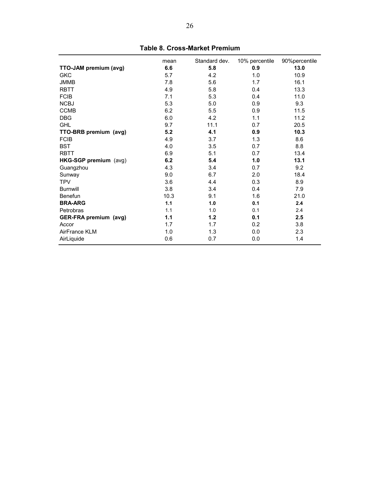<span id="page-26-0"></span>

|                       | mean | Standard dev. | 10% percentile | 90%percentile |
|-----------------------|------|---------------|----------------|---------------|
| TTO-JAM premium (avg) | 6.6  | 5.8           | 0.9            | 13.0          |
| <b>GKC</b>            | 5.7  | 4.2           | 1.0            | 10.9          |
| <b>JMMB</b>           | 7.8  | 5.6           | 1.7            | 16.1          |
| <b>RBTT</b>           | 4.9  | 5.8           | 0.4            | 13.3          |
| <b>FCIB</b>           | 7.1  | 5.3           | 0.4            | 11.0          |
| <b>NCBJ</b>           | 5.3  | 5.0           | 0.9            | 9.3           |
| <b>CCMB</b>           | 6.2  | 5.5           | 0.9            | 11.5          |
| <b>DBG</b>            | 6.0  | 4.2           | 1.1            | 11.2          |
| <b>GHL</b>            | 9.7  | 11.1          | 0.7            | 20.5          |
| TTO-BRB premium (avg) | 5.2  | 4.1           | 0.9            | 10.3          |
| <b>FCIB</b>           | 4.9  | 3.7           | 1.3            | 8.6           |
| <b>BST</b>            | 4.0  | 3.5           | 0.7            | 8.8           |
| <b>RBTT</b>           | 6.9  | 5.1           | 0.7            | 13.4          |
| HKG-SGP premium (avg) | 6.2  | 5.4           | 1.0            | 13.1          |
| Guangzhou             | 4.3  | 3.4           | 0.7            | 9.2           |
| Sunway                | 9.0  | 6.7           | 2.0            | 18.4          |
| <b>TPV</b>            | 3.6  | 4.4           | 0.3            | 8.9           |
| <b>Burnwill</b>       | 3.8  | 3.4           | 0.4            | 7.9           |
| Benefun               | 10.3 | 9.1           | 1.6            | 21.0          |
| <b>BRA-ARG</b>        | 1.1  | 1.0           | 0.1            | 2.4           |
| Petrobras             | 1.1  | 1.0           | 0.1            | 2.4           |
| GER-FRA premium (avg) | 1.1  | $1.2$         | 0.1            | 2.5           |
| Accor                 | 1.7  | 1.7           | 0.2            | 3.8           |
| AirFrance KLM         | 1.0  | 1.3           | 0.0            | 2.3           |
| AirLiquide            | 0.6  | 0.7           | 0.0            | 1.4           |

**Table 8. Cross-Market Premium**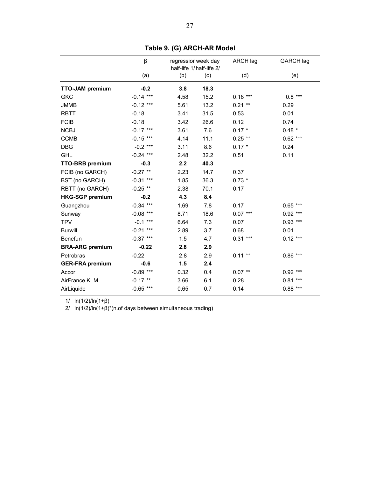<span id="page-27-0"></span>

|                        | β              |      | regressior week day<br>half-life 1/half-life 2/ | ARCH lag  | <b>GARCH lag</b> |
|------------------------|----------------|------|-------------------------------------------------|-----------|------------------|
|                        | (a)            | (b)  | (c)                                             | (d)       | (e)              |
| <b>TTO-JAM premium</b> | $-0.2$         | 3.8  | 18.3                                            |           |                  |
| <b>GKC</b>             | $-0.14$ ***    | 4.58 | 15.2                                            | $0.18***$ | $0.8***$         |
| <b>JMMB</b>            | $-0.12$ ***    | 5.61 | 13.2                                            | $0.21**$  | 0.29             |
| <b>RBTT</b>            | $-0.18$        | 3.41 | 31.5                                            | 0.53      | 0.01             |
| <b>FCIB</b>            | $-0.18$        | 3.42 | 26.6                                            | 0.12      | 0.74             |
| <b>NCBJ</b>            | $-0.17$ ***    | 3.61 | 7.6                                             | $0.17 *$  | $0.48 *$         |
| <b>CCMB</b>            | $-0.15$ ***    | 4.14 | 11.1                                            | $0.25$ ** | $0.62***$        |
| <b>DBG</b>             | $-0.2$ ***     | 3.11 | 8.6                                             | $0.17 *$  | 0.24             |
| <b>GHL</b>             | $-0.24$ ***    | 2.48 | 32.2                                            | 0.51      | 0.11             |
| <b>TTO-BRB</b> premium | $-0.3$         | 2.2  | 40.3                                            |           |                  |
| FCIB (no GARCH)        | $-0.27$ **     | 2.23 | 14.7                                            | 0.37      |                  |
| BST (no GARCH)         | $-0.31$ ***    | 1.85 | 36.3                                            | $0.73*$   |                  |
| RBTT (no GARCH)        | $-0.25$ **     | 2.38 | 70.1                                            | 0.17      |                  |
| <b>HKG-SGP premium</b> | $-0.2$         | 4.3  | 8.4                                             |           |                  |
| Guangzhou              | $-0.34$ ***    | 1.69 | 7.8                                             | 0.17      | $0.65***$        |
| Sunway                 | $-0.08$ ***    | 8.71 | 18.6                                            | $0.07***$ | $0.92***$        |
| <b>TPV</b>             | $-0.1***$      | 6.64 | 7.3                                             | 0.07      | $0.93$ ***       |
| <b>Burwill</b>         | ***<br>$-0.21$ | 2.89 | 3.7                                             | 0.68      | 0.01             |
| Benefun                | $-0.37$ ***    | 1.5  | 4.7                                             | $0.31***$ | $0.12***$        |
| <b>BRA-ARG premium</b> | $-0.22$        | 2.8  | 2.9                                             |           |                  |
| Petrobras              | $-0.22$        | 2.8  | 2.9                                             | $0.11**$  | $0.86***$        |
| <b>GER-FRA premium</b> | $-0.6$         | 1.5  | 2.4                                             |           |                  |
| Accor                  | $-0.89$ ***    | 0.32 | 0.4                                             | $0.07$ ** | $0.92***$        |
| AirFrance KLM          | $-0.17$ **     | 3.66 | 6.1                                             | 0.28      | $0.81***$        |
| AirLiquide             | $-0.65$ ***    | 0.65 | 0.7                                             | 0.14      | $0.88***$        |

**Table 9. (G) ARCH-AR Model**

1/ ln(1/2)/ln(1+β)

2/ ln(1/2)/ln(1+β)\*(n.of days between simultaneous trading)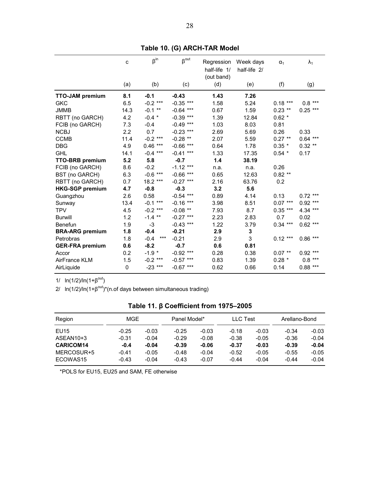<span id="page-28-0"></span>

|                        | $\mathbf C$ | $\beta^{in}$    | $\beta^{\text{out}}$ | Regression<br>half-life 1/ | Week days<br>half-life 2/ | $\alpha_1$ | $\lambda_1$ |
|------------------------|-------------|-----------------|----------------------|----------------------------|---------------------------|------------|-------------|
|                        | (a)         | (b)             | (c)                  | (out band)<br>(d)          | (e)                       | (f)        | (g)         |
|                        |             |                 |                      |                            |                           |            |             |
| <b>TTO-JAM premium</b> | 8.1         | $-0.1$          | $-0.43$              | 1.43                       | 7.26                      |            |             |
| <b>GKC</b>             | 6.5         | $-0.2$ ***      | $-0.35$ ***          | 1.58                       | 5.24                      | $0.18***$  | $0.8***$    |
| <b>JMMB</b>            | 14.3        | $-0.1$ **       | $-0.64$ ***          | 0.67                       | 1.59                      | $0.23$ **  | $0.25***$   |
| RBTT (no GARCH)        | 4.2         | $-0.4$ *        | $-0.39$ ***          | 1.39                       | 12.84                     | $0.62 *$   |             |
| FCIB (no GARCH)        | 7.3         | $-0.4$          | $-0.49$ ***          | 1.03                       | 8.03                      | 0.81       |             |
| <b>NCBJ</b>            | 2.2         | 0.7             | $-0.23$ ***          | 2.69                       | 5.69                      | 0.26       | 0.33        |
| <b>CCMB</b>            | 11.4        | $-0.2$ ***      | $-0.28$ **           | 2.07                       | 5.59                      | $0.27**$   | $0.64$ ***  |
| <b>DBG</b>             | 4.9         | $0.46***$       | $-0.66$ ***          | 0.64                       | 1.78                      | $0.35 *$   | $0.32$ **   |
| <b>GHL</b>             | 14.1        | $-0.4$ ***      | $-0.41$ ***          | 1.33                       | 17.35                     | $0.54$ *   | 0.17        |
| <b>TTO-BRB</b> premium | 5.2         | 5.8             | $-0.7$               | 1.4                        | 38.19                     |            |             |
| FCIB (no GARCH)        | 8.6         | $-0.2$          | $-1.12$ ***          | n.a.                       | n.a.                      | 0.26       |             |
| BST (no GARCH)         | 6.3         | $-0.6$ ***      | $-0.66$ ***          | 0.65                       | 12.63                     | $0.82**$   |             |
| RBTT (no GARCH)        | 0.7         | 18.2 ***        | $-0.27$ ***          | 2.16                       | 63.76                     | 0.2        |             |
| <b>HKG-SGP premium</b> | 4.7         | $-0.8$          | $-0.3$               | 3.2                        | 5.6                       |            |             |
| Guangzhou              | 2.6         | 0.58            | $-0.54$ ***          | 0.89                       | 4.14                      | 0.13       | $0.72$ ***  |
| Sunway                 | 13.4        | $-0.1***$       | $-0.16$ ***          | 3.98                       | 8.51                      | $0.07***$  | $0.92***$   |
| <b>TPV</b>             | 4.5         | $-0.2$ ***      | $-0.08$ **           | 7.93                       | 8.7                       | $0.35***$  | 4.34 ***    |
| <b>Burwill</b>         | 1.2         | $-1.4$ **       | $-0.27$ ***          | 2.23                       | 2.83                      | 0.7        | 0.02        |
| <b>Benefun</b>         | 1.9         | $-3$            | $-0.43$ ***          | 1.22                       | 3.79                      | $0.34***$  | $0.62$ ***  |
| <b>BRA-ARG</b> premium | 1.8         | $-0.4$          | $-0.21$              | 2.9                        | 3                         |            |             |
| Petrobras              | 1.8         | $***$<br>$-0.4$ | $-0.21$              | 2.9                        | 3                         | $0.12***$  | $0.86***$   |
| <b>GER-FRA premium</b> | 0.6         | $-8.2$          | $-0.7$               | 0.6                        | 0.81                      |            |             |
| Accor                  | 0.2         | $-1.9$ *        | $-0.92$ ***          | 0.28                       | 0.38                      | $0.07$ **  | $0.92***$   |
| AirFrance KLM          | 1.5         | $-0.2$ ***      | $-0.57$ ***          | 0.83                       | 1.39                      | $0.28 *$   | $0.8***$    |
| AirLiquide             | 0           | $-23$ ***       | $-0.67$ ***          | 0.62                       | 0.66                      | 0.14       | $0.88***$   |
|                        |             |                 |                      |                            |                           |            |             |

**Table 10. (G) ARCH-TAR Model**

1/  $ln(1/2)/ln(1+\beta^{out})$ 

2/  $\ln(1/2)/\ln(1+\beta^{out})^*(n.$ of days between simultaneous trading)

| Region           | MGE     |         | Panel Model* |         | <b>LLC</b> Test |         | Arellano-Bond |         |
|------------------|---------|---------|--------------|---------|-----------------|---------|---------------|---------|
|                  |         |         |              |         |                 |         |               |         |
| EU15             | $-0.25$ | $-0.03$ | $-0.25$      | $-0.03$ | $-0.18$         | $-0.03$ | $-0.34$       | $-0.03$ |
| ASEAN10+3        | $-0.31$ | $-0.04$ | $-0.29$      | $-0.08$ | $-0.38$         | $-0.05$ | $-0.36$       | $-0.04$ |
| <b>CARICOM14</b> | $-0.4$  | $-0.04$ | $-0.39$      | $-0.06$ | $-0.37$         | $-0.03$ | $-0.39$       | $-0.04$ |
| MERCOSUR+5       | $-0.41$ | $-0.05$ | $-0.48$      | $-0.04$ | $-0.52$         | $-0.05$ | $-0.55$       | $-0.05$ |
| ECOWAS15         | $-0.43$ | $-0.04$ | $-0.43$      | $-0.07$ | $-0.44$         | $-0.04$ | $-0.44$       | $-0.04$ |

\*POLS for EU15, EU25 and SAM, FE otherwise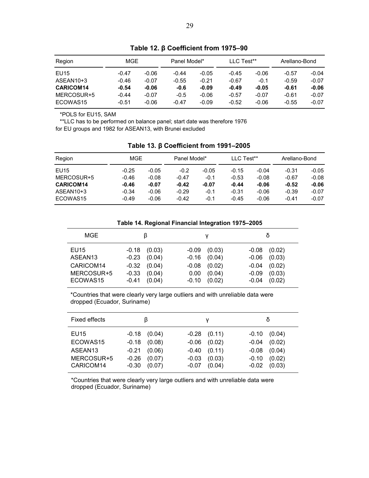<span id="page-29-0"></span>

| Region           | MGE     |         | Panel Model* |         | LLC Test** |         | Arellano-Bond |         |
|------------------|---------|---------|--------------|---------|------------|---------|---------------|---------|
| <b>EU15</b>      | $-0.47$ | $-0.06$ | $-0.44$      | $-0.05$ | $-0.45$    | $-0.06$ | $-0.57$       | $-0.04$ |
| ASEAN10+3        | $-0.46$ | $-0.07$ | $-0.55$      | $-0.21$ | $-0.67$    | $-0.1$  | $-0.59$       | $-0.07$ |
| <b>CARICOM14</b> | $-0.54$ | $-0.06$ | $-0.6$       | $-0.09$ | $-0.49$    | $-0.05$ | $-0.61$       | $-0.06$ |
| MERCOSUR+5       | $-0.44$ | $-0.07$ | $-0.5$       | $-0.06$ | $-0.57$    | $-0.07$ | $-0.61$       | $-0.07$ |
| ECOWAS15         | $-0.51$ | $-0.06$ | $-0.47$      | $-0.09$ | $-0.52$    | $-0.06$ | $-0.55$       | $-0.07$ |

**Table 12. β Coefficient from 1975–90** 

\*POLS for EU15, SAM

\*\*LLC has to be performed on balance panel; start date was therefore 1976 for EU groups and 1982 for ASEAN13, with Brunei excluded

| Region           | MGE     |         | Panel Model* |         | LLC Test** |         | Arellano-Bond |         |
|------------------|---------|---------|--------------|---------|------------|---------|---------------|---------|
| <b>EU15</b>      | $-0.25$ | -0.05   | $-0.2$       | $-0.05$ | $-0.15$    | $-0.04$ | $-0.31$       | $-0.05$ |
| MERCOSUR+5       | $-0.46$ | $-0.08$ | $-0.47$      | $-0.1$  | $-0.53$    | $-0.08$ | $-0.67$       | $-0.08$ |
| <b>CARICOM14</b> | $-0.46$ | $-0.07$ | $-0.42$      | $-0.07$ | $-0.44$    | $-0.06$ | $-0.52$       | $-0.06$ |
| ASEAN10+3        | $-0.34$ | $-0.06$ | $-0.29$      | $-0.1$  | $-0.31$    | $-0.06$ | $-0.39$       | $-0.07$ |
| ECOWAS15         | $-0.49$ | $-0.06$ | $-0.42$      | $-0.1$  | $-0.45$    | $-0.06$ | $-0.41$       | $-0.07$ |

**Table 14. Regional Financial Integration 1975–2005** 

| MGE                                                                |                                                                                                    |                                                                                                  |                                                                                                       |
|--------------------------------------------------------------------|----------------------------------------------------------------------------------------------------|--------------------------------------------------------------------------------------------------|-------------------------------------------------------------------------------------------------------|
| EU15<br>ASEAN <sub>13</sub><br>CARICOM14<br>MERCOSUR+5<br>ECOWAS15 | $-0.18$<br>(0.03)<br>$-0.23$ $(0.04)$<br>$-0.32$<br>(0.04)<br>$-0.33$<br>(0.04)<br>(0.04)<br>-0.41 | (0.03)<br>$-0.09$<br>$-0.16$<br>(0.04)<br>(0.02)<br>$-0.08$<br>(0.04)<br>0.00<br>(0.02)<br>-0.10 | (0.02)<br>$-0.08$<br>(0.03)<br>$-0.06$<br>(0.02)<br>$-0.04$<br>(0.03)<br>$-0.09$<br>(0.02)<br>$-0.04$ |

\*Countries that were clearly very large outliers and with unreliable data were dropped (Ecuador, Suriname)

| <b>Fixed effects</b>                                               |                                                                                                       | v                                                                                                   |                                                                                                       |
|--------------------------------------------------------------------|-------------------------------------------------------------------------------------------------------|-----------------------------------------------------------------------------------------------------|-------------------------------------------------------------------------------------------------------|
| EU15<br>ECOWAS15<br>ASEAN <sub>13</sub><br>MERCOSUR+5<br>CARICOM14 | $-0.18$<br>(0.04)<br>$-0.18$<br>(0.08)<br>(0.06)<br>$-0.21$<br>$-0.26$<br>(0.07)<br>$-0.30$<br>(0.07) | $-0.28$ $(0.11)$<br>(0.02)<br>$-0.06$<br>$-0.40$ $(0.11)$<br>(0.03)<br>$-0.03$<br>(0.04)<br>$-0.07$ | $-0.10$<br>(0.04)<br>(0.02)<br>$-0.04$<br>(0.04)<br>$-0.08$<br>(0.02)<br>$-0.10$<br>(0.03)<br>$-0.02$ |

\*Countries that were clearly very large outliers and with unreliable data were dropped (Ecuador, Suriname)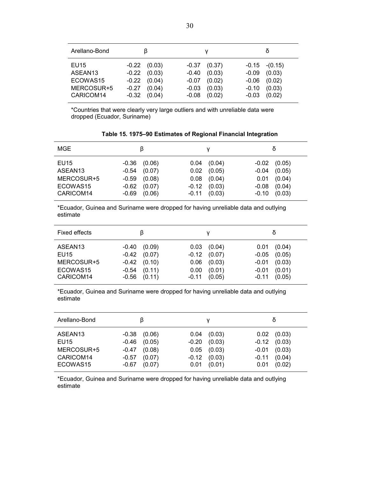<span id="page-30-0"></span>

| Arellano-Bond                                                      |                                                                                                     |                                                                                                    |                                                                                                      |
|--------------------------------------------------------------------|-----------------------------------------------------------------------------------------------------|----------------------------------------------------------------------------------------------------|------------------------------------------------------------------------------------------------------|
| EU15<br>ASEAN <sub>13</sub><br>ECOWAS15<br>MERCOSUR+5<br>CARICOM14 | $-0.22$ $(0.03)$<br>(0.03)<br>$-0.22$<br>$-0.22$ $(0.04)$<br>$-0.27$<br>(0.04)<br>(0.04)<br>$-0.32$ | $-0.37$ $(0.37)$<br>(0.03)<br>$-0.40$<br>(0.02)<br>-0.07<br>(0.03)<br>$-0.03$<br>(0.02)<br>$-0.08$ | $-0.15 - (0.15)$<br>(0.03)<br>$-0.09$<br>(0.02)<br>$-0.06$<br>(0.03)<br>$-0.10$<br>(0.02)<br>$-0.03$ |

\*Countries that were clearly very large outliers and with unreliable data were dropped (Ecuador, Suriname)

| <b>MGE</b>                                                         |                                                                                                      |                                                                                            |                                                                                                 |
|--------------------------------------------------------------------|------------------------------------------------------------------------------------------------------|--------------------------------------------------------------------------------------------|-------------------------------------------------------------------------------------------------|
| EU15<br>ASEAN <sub>13</sub><br>MERCOSUR+5<br>ECOWAS15<br>CARICOM14 | $-0.36$<br>(0.06)<br>(0.07)<br>$-0.54$<br>$-0.59$ $(0.08)$<br>(0.07)<br>$-0.62$<br>$-0.69$<br>(0.06) | (0.04)<br>0.04<br>(0.05)<br>0.02<br>(0.04)<br>0.08<br>(0.03)<br>$-0.12$<br>(0.03)<br>-0.11 | (0.05)<br>-0.02<br>(0.05)<br>-0.04<br>$0.01$ $(0.04)$<br>(0.04)<br>$-0.08$<br>(0.03)<br>$-0.10$ |

**Table 15. 1975–90 Estimates of Regional Financial Integration** 

\*Ecuador, Guinea and Suriname were dropped for having unreliable data and outlying estimate

| Fixed effects                                                      | ß                                                                                                   |                                                                                             | δ                                                                                                  |
|--------------------------------------------------------------------|-----------------------------------------------------------------------------------------------------|---------------------------------------------------------------------------------------------|----------------------------------------------------------------------------------------------------|
| ASEAN <sub>13</sub><br>EU15<br>MERCOSUR+5<br>ECOWAS15<br>CARICOM14 | (0.09)<br>$-0.40$<br>$-0.42$<br>(0.07)<br>-0.42<br>(0.10)<br>(0.11)<br>$-0.54$<br>(0.11)<br>$-0.56$ | (0.04)<br>0.03<br>$-0.12$ $(0.07)$<br>0.06<br>(0.03)<br>(0.01)<br>0.00<br>$-0.11$<br>(0.05) | (0.04)<br>0.01<br>(0.05)<br>$-0.05$<br>(0.03)<br>$-0.01$<br>(0.01)<br>$-0.01$<br>$-0.11$<br>(0.05) |

\*Ecuador, Guinea and Suriname were dropped for having unreliable data and outlying estimate

| Arellano-Bond                                                      | β                                                                                                     |                                                                                              | δ                                                                                                            |
|--------------------------------------------------------------------|-------------------------------------------------------------------------------------------------------|----------------------------------------------------------------------------------------------|--------------------------------------------------------------------------------------------------------------|
| ASEAN <sub>13</sub><br>EU15<br>MERCOSUR+5<br>CARICOM14<br>ECOWAS15 | $-0.38$<br>(0.06)<br>$-0.46$<br>(0.05)<br>(0.08)<br>$-0.47$<br>(0.07)<br>$-0.57$<br>$-0.67$<br>(0.07) | (0.03)<br>0.04<br>(0.03)<br>$-0.20$<br>(0.03)<br>0.05<br>(0.03)<br>$-0.12$<br>(0.01)<br>0.01 | (0.03)<br>0.02 <sub>1</sub><br>(0.03)<br>$-0.12$<br>(0.03)<br>$-0.01$<br>(0.04)<br>$-0.11$<br>(0.02)<br>0.01 |

\*Ecuador, Guinea and Suriname were dropped for having unreliable data and outlying estimate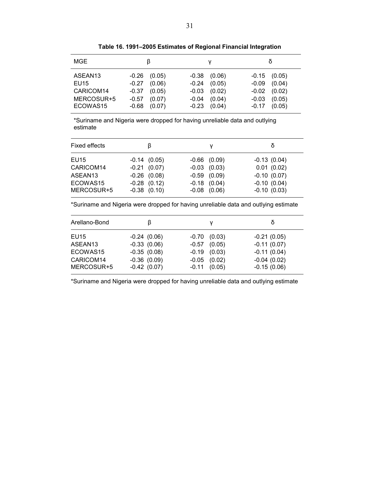<span id="page-31-0"></span>

| MGE                                                                | ß                                                                                                   |                                                                                                      |                                                                                                     |
|--------------------------------------------------------------------|-----------------------------------------------------------------------------------------------------|------------------------------------------------------------------------------------------------------|-----------------------------------------------------------------------------------------------------|
| ASEAN <sub>13</sub><br>EU15<br>CARICOM14<br>MERCOSUR+5<br>ECOWAS15 | (0.05)<br>$-0.26$<br>(0.06)<br>$-0.27$<br>(0.05)<br>-0.37<br>(0.07)<br>$-0.57$<br>(0.07)<br>$-0.68$ | $-0.38$ $(0.06)$<br>(0.05)<br>$-0.24$<br>(0.02)<br>$-0.03$<br>(0.04)<br>$-0.04$<br>(0.04)<br>$-0.23$ | $-0.15$ $(0.05)$<br>(0.04)<br>$-0.09$<br>$-0.02$ $(0.02)$<br>(0.05)<br>$-0.03$<br>(0.05)<br>$-0.17$ |

**Table 16. 1991–2005 Estimates of Regional Financial Integration** 

\*Suriname and Nigeria were dropped for having unreliable data and outlying estimate

| Fixed effects                            | ß                                                                         |                                                                              | Ò                                                             |
|------------------------------------------|---------------------------------------------------------------------------|------------------------------------------------------------------------------|---------------------------------------------------------------|
| EU15<br>CARICOM14<br>ASEAN13<br>ECOWAS15 | $-0.14(0.05)$<br>$-0.21$ $(0.07)$<br>$-0.26$ $(0.08)$<br>$-0.28$ $(0.12)$ | $-0.66$ $(0.09)$<br>$-0.03$ $(0.03)$<br>$-0.59$ $(0.09)$<br>$-0.18$ $(0.04)$ | $-0.13(0.04)$<br>0.01(0.02)<br>$-0.10(0.07)$<br>$-0.10(0.04)$ |
| MERCOSUR+5                               | $-0.38$ $(0.10)$                                                          | $-0.08$ $(0.06)$                                                             | $-0.10(0.03)$                                                 |

\*Suriname and Nigeria were dropped for having unreliable data and outlying estimate

| Arellano-Bond           |                                |                                       |                                |
|-------------------------|--------------------------------|---------------------------------------|--------------------------------|
| EU15                    | $-0.24(0.06)$                  | (0.03)<br>$-0.70$                     | $-0.21(0.05)$                  |
| ASEAN <sub>13</sub>     | $-0.33(0.06)$                  | (0.05)<br>$-0.57$                     | $-0.11(0.07)$                  |
| ECOWAS15                | $-0.35(0.08)$                  | (0.03)<br>$-0.19$                     | $-0.11(0.04)$                  |
| CARICOM14<br>MERCOSUR+5 | $-0.36(0.09)$<br>$-0.42(0.07)$ | (0.02)<br>$-0.05$<br>$-0.11$ $(0.05)$ | $-0.04(0.02)$<br>$-0.15(0.06)$ |

\*Suriname and Nigeria were dropped for having unreliable data and outlying estimate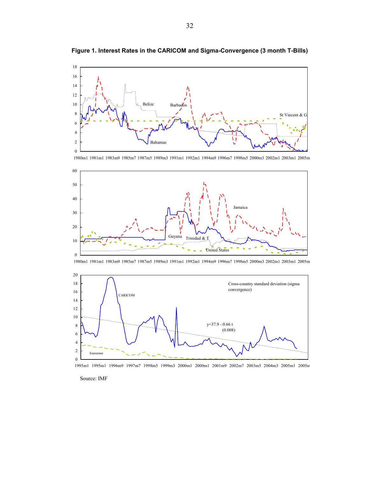

<span id="page-32-0"></span>**Figure 1. Interest Rates in the CARICOM and Sigma-Convergence (3 month T-Bills)** 

1980m1 1981m1 1983m9 1985m7 1987m5 1989m3 1991m1 1992m1 1994m9 1996m7 1998m5 2000m3 2002m1 2003m1 2005m







1995m1 1995m1 1996m9 1997m7 1998m5 1999m3 2000m1 2000m1 2001m9 2002m7 2003m5 2004m3 2005m1 2005m

Source: IMF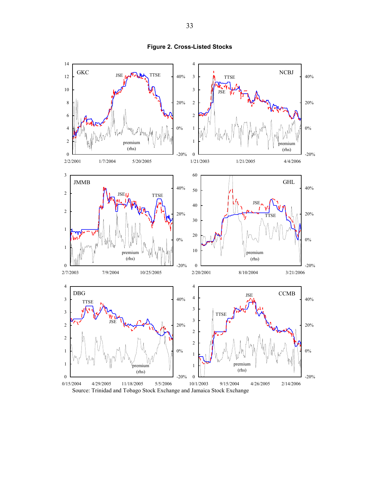<span id="page-33-0"></span>

**Figure 2. Cross-Listed Stocks**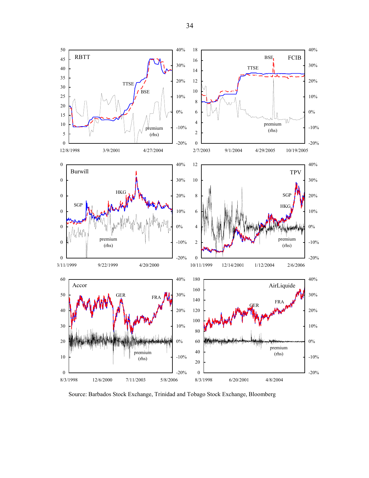

Source: Barbados Stock Exchange, Trinidad and Tobago Stock Exchange, Bloomberg